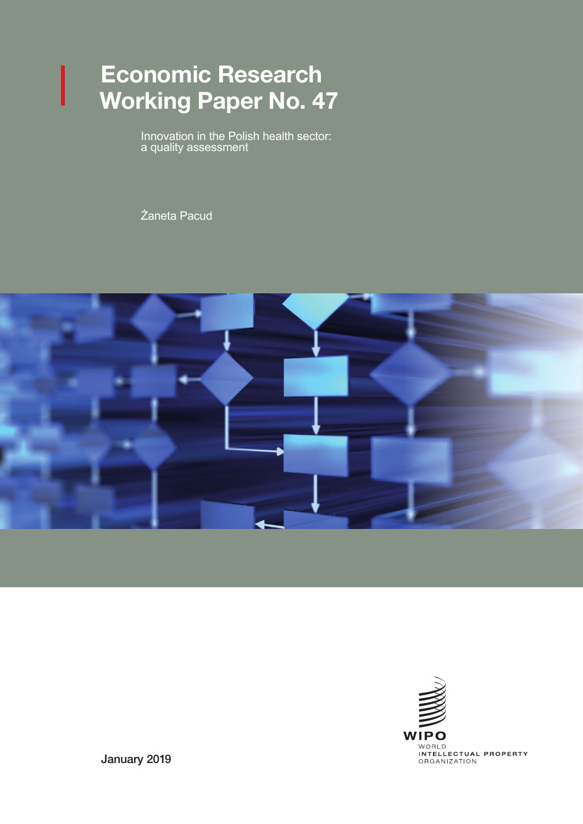# Economic Research Working Paper No. 47

Innovation in the Polish health sector: a quality assessment

Żaneta Pacud





January 2019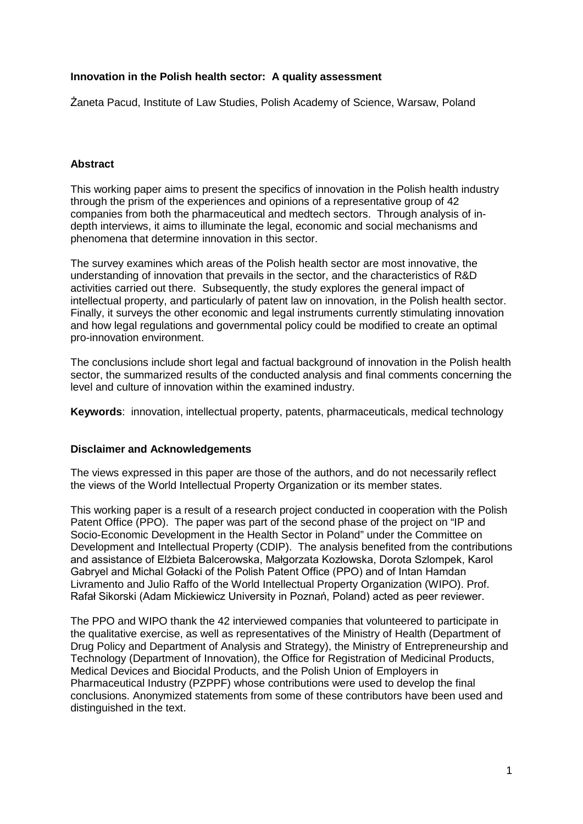## **Innovation in the Polish health sector: A quality assessment**

Żaneta Pacud, Institute of Law Studies, Polish Academy of Science, Warsaw, Poland

## **Abstract**

This working paper aims to present the specifics of innovation in the Polish health industry through the prism of the experiences and opinions of a representative group of 42 companies from both the pharmaceutical and medtech sectors. Through analysis of indepth interviews, it aims to illuminate the legal, economic and social mechanisms and phenomena that determine innovation in this sector.

The survey examines which areas of the Polish health sector are most innovative, the understanding of innovation that prevails in the sector, and the characteristics of R&D activities carried out there. Subsequently, the study explores the general impact of intellectual property, and particularly of patent law on innovation, in the Polish health sector. Finally, it surveys the other economic and legal instruments currently stimulating innovation and how legal regulations and governmental policy could be modified to create an optimal pro-innovation environment.

The conclusions include short legal and factual background of innovation in the Polish health sector, the summarized results of the conducted analysis and final comments concerning the level and culture of innovation within the examined industry.

**Keywords**: innovation, intellectual property, patents, pharmaceuticals, medical technology

## **Disclaimer and Acknowledgements**

The views expressed in this paper are those of the authors, and do not necessarily reflect the views of the World Intellectual Property Organization or its member states.

This working paper is a result of a research project conducted in cooperation with the Polish Patent Office (PPO). The paper was part of the second phase of the project on "IP and Socio-Economic Development in the Health Sector in Poland" under the Committee on Development and Intellectual Property (CDIP). The analysis benefited from the contributions and assistance of Elżbieta Balcerowska, Małgorzata Kozłowska, Dorota Szlompek, Karol Gabryel and Michal Gołacki of the Polish Patent Office (PPO) and of Intan Hamdan Livramento and Julio Raffo of the World Intellectual Property Organization (WIPO). Prof. Rafał Sikorski (Adam Mickiewicz University in Poznań, Poland) acted as peer reviewer.

The PPO and WIPO thank the 42 interviewed companies that volunteered to participate in the qualitative exercise, as well as representatives of the Ministry of Health (Department of Drug Policy and Department of Analysis and Strategy), the Ministry of Entrepreneurship and Technology (Department of Innovation), the Office for Registration of Medicinal Products, Medical Devices and Biocidal Products, and the Polish Union of Employers in Pharmaceutical Industry (PZPPF) whose contributions were used to develop the final conclusions. Anonymized statements from some of these contributors have been used and distinguished in the text.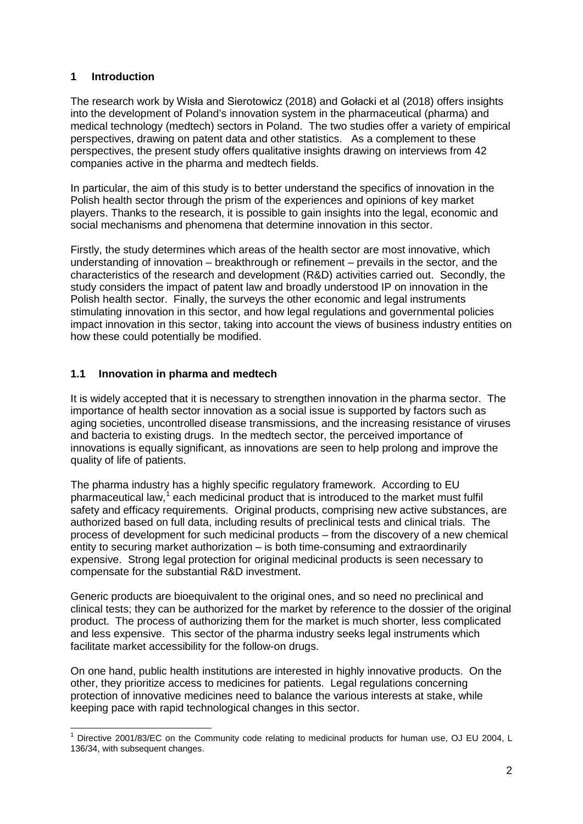# **1 Introduction**

The research work by Wisła and Sierotowicz (2018) and Gołacki et al (2018) offers insights into the development of Poland's innovation system in the pharmaceutical (pharma) and medical technology (medtech) sectors in Poland. The two studies offer a variety of empirical perspectives, drawing on patent data and other statistics. As a complement to these perspectives, the present study offers qualitative insights drawing on interviews from 42 companies active in the pharma and medtech fields.

In particular, the aim of this study is to better understand the specifics of innovation in the Polish health sector through the prism of the experiences and opinions of key market players. Thanks to the research, it is possible to gain insights into the legal, economic and social mechanisms and phenomena that determine innovation in this sector.

Firstly, the study determines which areas of the health sector are most innovative, which understanding of innovation – breakthrough or refinement – prevails in the sector, and the characteristics of the research and development (R&D) activities carried out. Secondly, the study considers the impact of patent law and broadly understood IP on innovation in the Polish health sector. Finally, the surveys the other economic and legal instruments stimulating innovation in this sector, and how legal regulations and governmental policies impact innovation in this sector, taking into account the views of business industry entities on how these could potentially be modified.

# **1.1 Innovation in pharma and medtech**

It is widely accepted that it is necessary to strengthen innovation in the pharma sector. The importance of health sector innovation as a social issue is supported by factors such as aging societies, uncontrolled disease transmissions, and the increasing resistance of viruses and bacteria to existing drugs. In the medtech sector, the perceived importance of innovations is equally significant, as innovations are seen to help prolong and improve the quality of life of patients.

The pharma industry has a highly specific regulatory framework. According to EU pharmaceutical law, $1$  each medicinal product that is introduced to the market must fulfil safety and efficacy requirements. Original products, comprising new active substances, are authorized based on full data, including results of preclinical tests and clinical trials. The process of development for such medicinal products – from the discovery of a new chemical entity to securing market authorization – is both time-consuming and extraordinarily expensive. Strong legal protection for original medicinal products is seen necessary to compensate for the substantial R&D investment.

<span id="page-2-1"></span>Generic products are bioequivalent to the original ones, and so need no preclinical and clinical tests; they can be authorized for the market by reference to the dossier of the original product. The process of authorizing them for the market is much shorter, less complicated and less expensive. This sector of the pharma industry seeks legal instruments which facilitate market accessibility for the follow-on drugs.

On one hand, public health institutions are interested in highly innovative products. On the other, they prioritize access to medicines for patients. Legal regulations concerning protection of innovative medicines need to balance the various interests at stake, while keeping pace with rapid technological changes in this sector.

<span id="page-2-0"></span><sup>&</sup>lt;sup>1</sup> Directive 2001/83/EC on the Community code relating to medicinal products for human use, OJ EU 2004, L 136/34, with subsequent changes.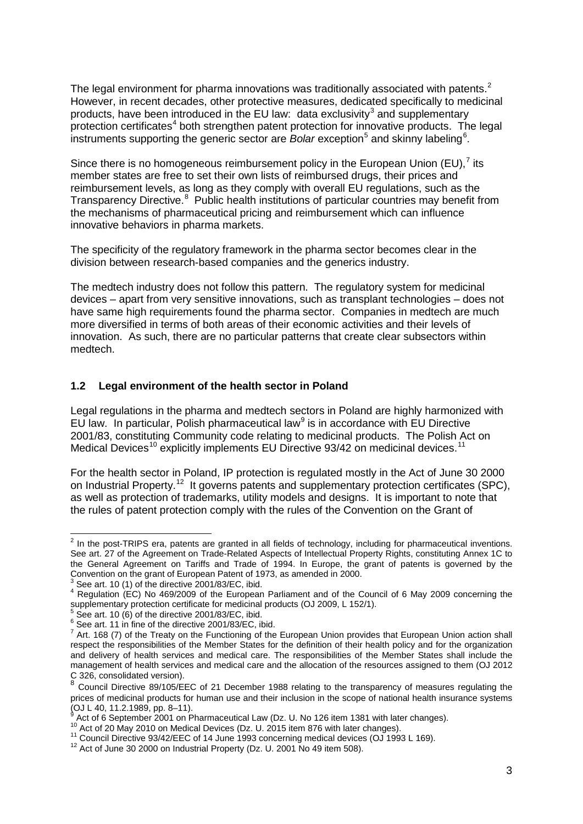The legal environment for pharma innovations was traditionally associated with patents.<sup>[2](#page-2-1)</sup> However, in recent decades, other protective measures, dedicated specifically to medicinal products, have been introduced in the EU law: data exclusivity<sup>[3](#page-3-0)</sup> and supplementary  $\frac{1}{2}$  protection certificates<sup>[4](#page-3-1)</sup> both strengthen patent protection for innovative products. The legal instruments supporting the generic sector are *Bolar* exception<sup>[5](#page-3-2)</sup> and skinny labeling<sup>[6](#page-3-3)</sup>.

Since there is no homogeneous reimbursement policy in the European Union (EU), $^7$  $^7$  its member states are free to set their own lists of reimbursed drugs, their prices and reimbursement levels, as long as they comply with overall EU regulations, such as the Transparency Directive.<sup>[8](#page-3-5)</sup> Public health institutions of particular countries may benefit from the mechanisms of pharmaceutical pricing and reimbursement which can influence innovative behaviors in pharma markets.

The specificity of the regulatory framework in the pharma sector becomes clear in the division between research-based companies and the generics industry.

The medtech industry does not follow this pattern. The regulatory system for medicinal devices – apart from very sensitive innovations, such as transplant technologies – does not have same high requirements found the pharma sector. Companies in medtech are much more diversified in terms of both areas of their economic activities and their levels of innovation. As such, there are no particular patterns that create clear subsectors within medtech.

#### **1.2 Legal environment of the health sector in Poland**

Legal regulations in the pharma and medtech sectors in Poland are highly harmonized with  $E$ U law. In particular, Polish pharmaceutical law<sup>[9](#page-3-6)</sup> is in accordance with  $E$ U Directive 2001/83, constituting Community code relating to medicinal products. The Polish Act on Medical Devices<sup>[10](#page-3-7)</sup> explicitly implements EU Directive 93/42 on medicinal devices.<sup>[11](#page-3-8)</sup>

For the health sector in Poland, IP protection is regulated mostly in the Act of June 30 2000 on Industrial Property.<sup>[12](#page-3-9)</sup> It governs patents and supplementary protection certificates (SPC), as well as protection of trademarks, utility models and designs. It is important to note that the rules of patent protection comply with the rules of the Convention on the Grant of

 $2$  In the post-TRIPS era, patents are granted in all fields of technology, including for pharmaceutical inventions. See art. 27 of the Agreement on Trade-Related Aspects of Intellectual Property Rights, constituting Annex 1C to the General Agreement on Tariffs and Trade of 1994. In Europe, the grant of patents is governed by the Convention on the grant of European Patent of 1973, as amended in 2000.

<span id="page-3-1"></span><span id="page-3-0"></span><sup>&</sup>lt;sup>3</sup> See art. 10 (1) of the directive 2001/83/EC, ibid.<br>
<sup>4</sup> Regulation (EC) No 469/2009 of the European Parliament and of the Council of 6 May 2009 concerning the<br>
supplementary protection certificate for medicinal produc

<span id="page-3-10"></span><span id="page-3-4"></span>

<span id="page-3-3"></span><span id="page-3-2"></span><sup>&</sup>lt;sup>5</sup> See art. 10 (6) of the directive 2001/83/EC, ibid.<br><sup>6</sup> See art. 11 in fine of the directive 2001/83/EC, ibid.<br><sup>7</sup> Art. 168 (7) of the Treaty on the Functioning of the European Union provides that European Union action respect the responsibilities of the Member States for the definition of their health policy and for the organization and delivery of health services and medical care. The responsibilities of the Member States shall include the management of health services and medical care and the allocation of the resources assigned to them (OJ 2012 C 326, consolidated version).

<span id="page-3-5"></span><sup>8</sup> Council Directive 89/105/EEC of 21 December 1988 relating to the transparency of measures regulating the prices of medicinal products for human use and their inclusion in the scope of national health insurance systems (OJ L 40, 11.2.1989, pp. 8–11).

<span id="page-3-6"></span> $\frac{9}{9}$  Act of 6 September 2001 on Pharmaceutical Law (Dz. U. No 126 item 1381 with later changes).<br><sup>10</sup> Act of 20 May 2010 on Medical Devices (Dz. U. 2015 item 876 with later changes).

<span id="page-3-9"></span><span id="page-3-8"></span><span id="page-3-7"></span><sup>&</sup>lt;sup>11</sup> Council Directive 93/42/EEC of 14 June 1993 concerning medical devices (OJ 1993 L 169).<br><sup>12</sup> Act of June 30 2000 on Industrial Property (Dz. U. 2001 No 49 item 508).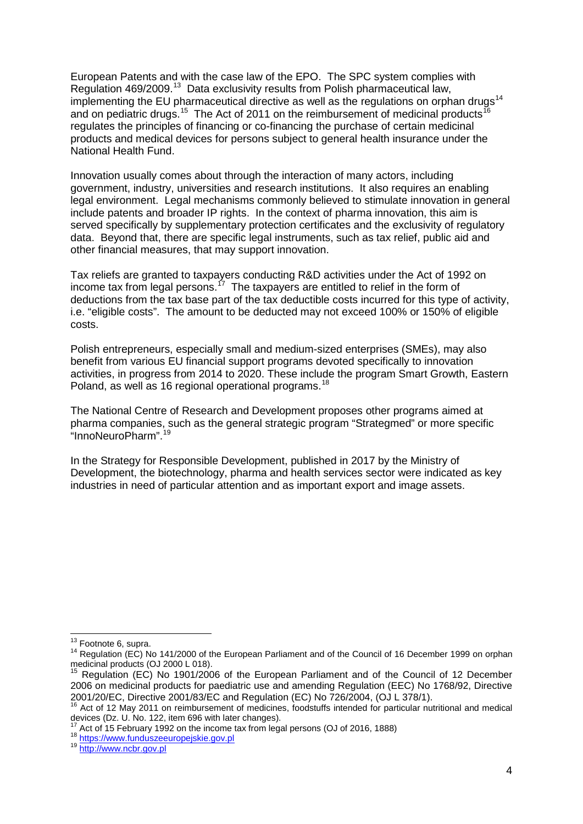European Patents and with the case law of the EPO. The SPC system complies with Regulation 469/2009.<sup>[13](#page-3-10)</sup> Data exclusivity results from Polish pharmaceutical law, implementing the EU pharmaceutical directive as well as the regulations on orphan drugs<sup>[14](#page-4-0)</sup> and on pediatric drugs.<sup>[15](#page-4-1)</sup> The Act of 2011 on the reimbursement of medicinal products<sup>[16](#page-4-2)</sup> regulates the principles of financing or co-financing the purchase of certain medicinal products and medical devices for persons subject to general health insurance under the National Health Fund.

Innovation usually comes about through the interaction of many actors, including government, industry, universities and research institutions. It also requires an enabling legal environment. Legal mechanisms commonly believed to stimulate innovation in general include patents and broader IP rights. In the context of pharma innovation, this aim is served specifically by supplementary protection certificates and the exclusivity of regulatory data. Beyond that, there are specific legal instruments, such as tax relief, public aid and other financial measures, that may support innovation.

Tax reliefs are granted to taxpayers conducting R&D activities under the Act of 1992 on income tax from legal persons.<sup>[17](#page-4-3)</sup> The taxpayers are entitled to relief in the form of deductions from the tax base part of the tax deductible costs incurred for this type of activity, i.e. "eligible costs". The amount to be deducted may not exceed 100% or 150% of eligible costs.

Polish entrepreneurs, especially small and medium-sized enterprises (SMEs), may also benefit from various EU financial support programs devoted specifically to innovation activities, in progress from 2014 to 2020. These include the program Smart Growth, Eastern Poland, as well as 16 regional operational programs.<sup>[18](#page-4-4)</sup>

The National Centre of Research and Development proposes other programs aimed at pharma companies, such as the general strategic program "Strategmed" or more specific "InnoNeuroPharm". [19](#page-4-5)

In the Strategy for Responsible Development, published in 2017 by the Ministry of Development, the biotechnology, pharma and health services sector were indicated as key industries in need of particular attention and as important export and image assets.

<span id="page-4-0"></span><sup>&</sup>lt;sup>13</sup> Footnote 6, supra.<br><sup>14</sup> Regulation (EC) No 141/2000 of the European Parliament and of the Council of 16 December 1999 on orphan medicinal products (OJ 2000 L 018).

<span id="page-4-1"></span><sup>&</sup>lt;sup>15</sup> Regulation (EC) No 1901/2006 of the European Parliament and of the Council of 12 December 2006 on medicinal products for paediatric use and amending Regulation (EEC) No 1768/92, Directive 2001/20/EC, Directive 2001/83/EC and Regulation (EC) No 726/2004, (OJ L 378/1).

<span id="page-4-2"></span><sup>&</sup>lt;sup>16</sup> Act of 12 May 2011 on reimbursement of medicines, foodstuffs intended for particular nutritional and medical devices (Dz. U. No. 122, item 696 with later changes).

<span id="page-4-4"></span><span id="page-4-3"></span><sup>&</sup>lt;sup>17</sup> Act of 15 February 1992 on the income tax from legal persons (OJ of 2016, 1888)<br><sup>18</sup> [https://www.funduszeeuropejskie.gov.pl](https://www.funduszeeuropejskie.gov.pl/)<br><sup>19</sup> [http://www.ncbr.gov.pl](http://www.ncbr.gov.pl/)

<span id="page-4-5"></span>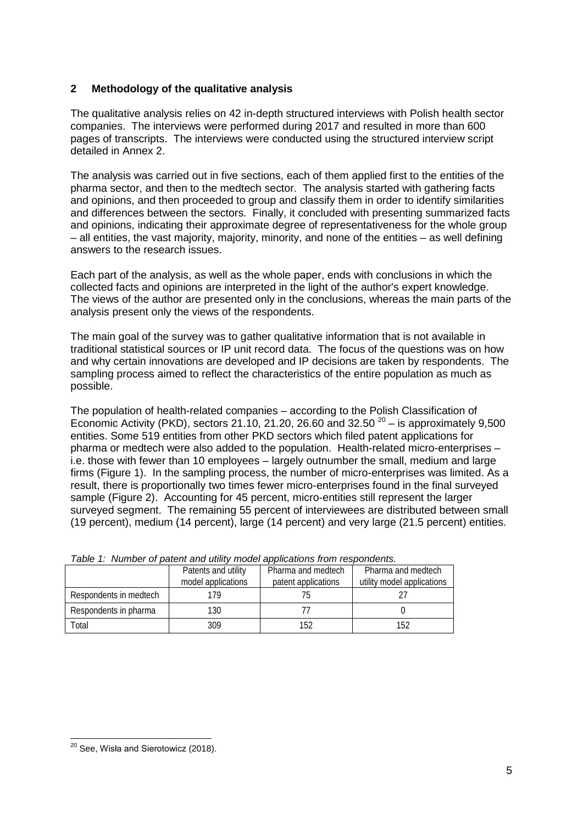## **2 Methodology of the qualitative analysis**

The qualitative analysis relies on 42 in-depth structured interviews with Polish health sector companies. The interviews were performed during 2017 and resulted in more than 600 pages of transcripts. The interviews were conducted using the structured interview script detailed in Annex 2.

The analysis was carried out in five sections, each of them applied first to the entities of the pharma sector, and then to the medtech sector. The analysis started with gathering facts and opinions, and then proceeded to group and classify them in order to identify similarities and differences between the sectors. Finally, it concluded with presenting summarized facts and opinions, indicating their approximate degree of representativeness for the whole group – all entities, the vast majority, majority, minority, and none of the entities – as well defining answers to the research issues.

Each part of the analysis, as well as the whole paper, ends with conclusions in which the collected facts and opinions are interpreted in the light of the author's expert knowledge. The views of the author are presented only in the conclusions, whereas the main parts of the analysis present only the views of the respondents.

The main goal of the survey was to gather qualitative information that is not available in traditional statistical sources or IP unit record data. The focus of the questions was on how and why certain innovations are developed and IP decisions are taken by respondents. The sampling process aimed to reflect the characteristics of the entire population as much as possible.

The population of health-related companies – according to the Polish Classification of Economic Activity (PKD), sectors 21.10, 21.[20](#page-4-5), 26.60 and 32.50  $^{20}$  – is approximately 9.500 entities. Some 519 entities from other PKD sectors which filed patent applications for pharma or medtech were also added to the population. Health-related micro-enterprises – i.e. those with fewer than 10 employees – largely outnumber the small, medium and large firms [\(Figure 1\)](#page-6-0). In the sampling process, the number of micro-enterprises was limited. As a result, there is proportionally two times fewer micro-enterprises found in the final surveyed sample [\(Figure 2\)](#page-6-1). Accounting for 45 percent, micro-entities still represent the larger surveyed segment. The remaining 55 percent of interviewees are distributed between small (19 percent), medium (14 percent), large (14 percent) and very large (21.5 percent) entities.

| rapid 1. Transporteridation, and allity model applications home copondonto. |                     |                     |                            |  |
|-----------------------------------------------------------------------------|---------------------|---------------------|----------------------------|--|
|                                                                             | Patents and utility | Pharma and medtech  | Pharma and medtech         |  |
|                                                                             | model applications  | patent applications | utility model applications |  |
| Respondents in medtech                                                      | 179                 | 75                  |                            |  |
| Respondents in pharma                                                       | 130                 |                     |                            |  |
| Total                                                                       | 309                 | 152                 | 152                        |  |

|  |  | Table 1: Number of patent and utility model applications from respondents. |
|--|--|----------------------------------------------------------------------------|
|  |  |                                                                            |

<span id="page-5-0"></span><sup>&</sup>lt;sup>20</sup> See. Wisła and Sierotowicz (2018).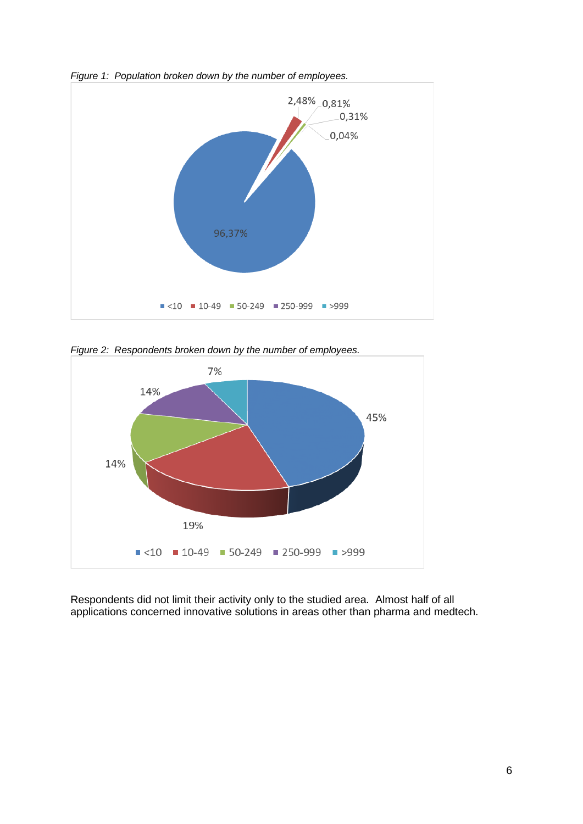

<span id="page-6-0"></span>*Figure 1: Population broken down by the number of employees.*

<span id="page-6-1"></span>



Respondents did not limit their activity only to the studied area. Almost half of all applications concerned innovative solutions in areas other than pharma and medtech.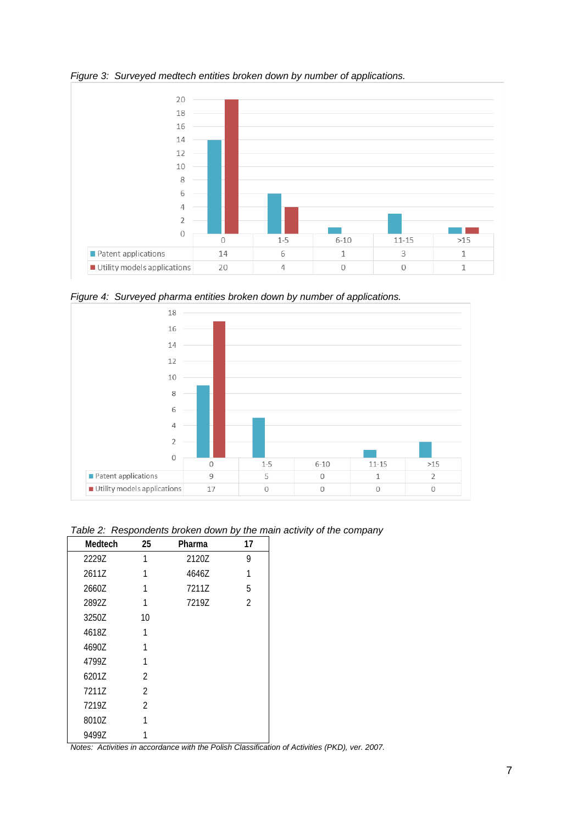

*Figure 3: Surveyed medtech entities broken down by number of applications.*

*Figure 4: Surveyed pharma entities broken down by number of applications.*



<span id="page-7-0"></span>*Table 2: Respondents broken down by the main activity of the company* 

| Medtech | 25             | Pharma | 17      |
|---------|----------------|--------|---------|
| 2229Z   | 1              | 2120Z  | 9       |
| 2611Z   | 1              | 4646Z  | 1       |
| 2660Z   | 1              | 7211Z  | 5       |
| 2892Z   | 1              | 7219Z  | 2       |
| 3250Z   | 10             |        |         |
| 4618Z   | 1              |        |         |
| 4690Z   | 1              |        |         |
| 4799Z   | 1              |        |         |
| 6201Z   | 2              |        |         |
| 7211Z   | $\mathfrak{D}$ |        |         |
| 7219Z   | 2              |        |         |
| 8010Z   | 1              |        |         |
| 9499Z   |                |        | $\cdot$ |

*Notes: Activities in accordance with the Polish Classification of Activities (PKD), ver. 2007.*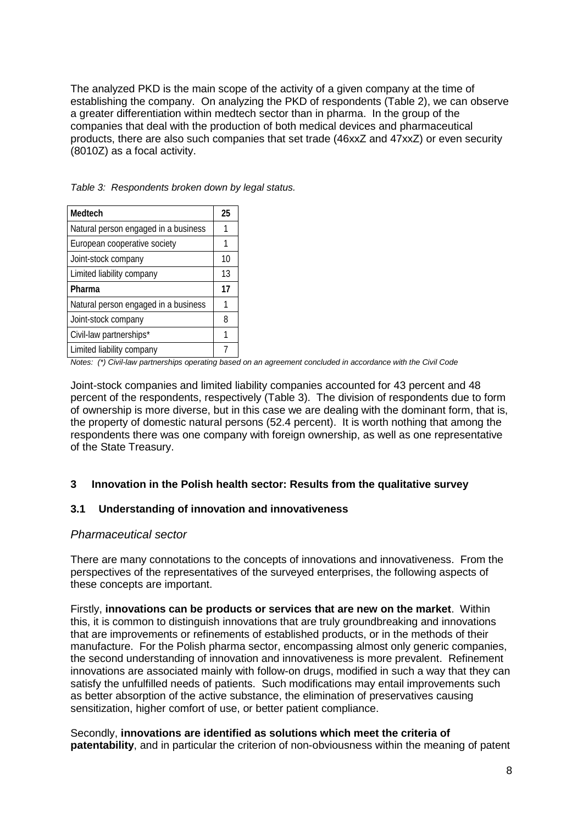The analyzed PKD is the main scope of the activity of a given company at the time of establishing the company. On analyzing the PKD of respondents [\(Table 2\)](#page-7-0), we can observe a greater differentiation within medtech sector than in pharma. In the group of the companies that deal with the production of both medical devices and pharmaceutical products, there are also such companies that set trade (46xxZ and 47xxZ) or even security (8010Z) as a focal activity.

<span id="page-8-0"></span>

| Table 3: Respondents broken down by legal status. |
|---------------------------------------------------|
|                                                   |

| Medtech                              |    |
|--------------------------------------|----|
| Natural person engaged in a business |    |
| European cooperative society         | 1  |
| Joint-stock company                  | 10 |
| Limited liability company            | 13 |
| Pharma                               | 17 |
| Natural person engaged in a business | 1  |
| Joint-stock company                  | 8  |
| Civil-law partnerships*              | 1  |
| Limited liability company            |    |

*Notes: (\*) Civil-law partnerships operating based on an agreement concluded in accordance with the Civil Code*

Joint-stock companies and limited liability companies accounted for 43 percent and 48 percent of the respondents, respectively [\(Table 3\)](#page-8-0). The division of respondents due to form of ownership is more diverse, but in this case we are dealing with the dominant form, that is, the property of domestic natural persons (52.4 percent). It is worth nothing that among the respondents there was one company with foreign ownership, as well as one representative of the State Treasury.

#### **3 Innovation in the Polish health sector: Results from the qualitative survey**

#### **3.1 Understanding of innovation and innovativeness**

#### *Pharmaceutical sector*

There are many connotations to the concepts of innovations and innovativeness. From the perspectives of the representatives of the surveyed enterprises, the following aspects of these concepts are important.

Firstly, **innovations can be products or services that are new on the market**. Within this, it is common to distinguish innovations that are truly groundbreaking and innovations that are improvements or refinements of established products, or in the methods of their manufacture. For the Polish pharma sector, encompassing almost only generic companies, the second understanding of innovation and innovativeness is more prevalent. Refinement innovations are associated mainly with follow-on drugs, modified in such a way that they can satisfy the unfulfilled needs of patients. Such modifications may entail improvements such as better absorption of the active substance, the elimination of preservatives causing sensitization, higher comfort of use, or better patient compliance.

Secondly, **innovations are identified as solutions which meet the criteria of patentability**, and in particular the criterion of non-obviousness within the meaning of patent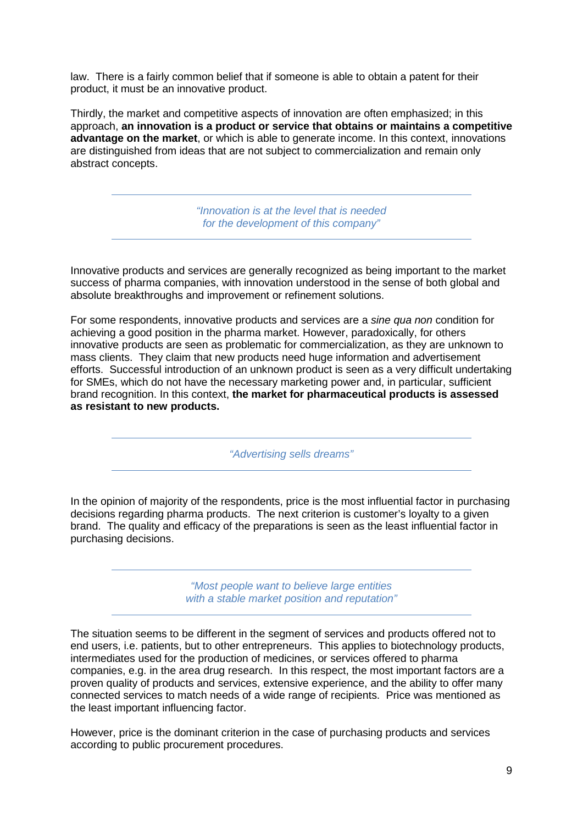law. There is a fairly common belief that if someone is able to obtain a patent for their product, it must be an innovative product.

Thirdly, the market and competitive aspects of innovation are often emphasized; in this approach, **an innovation is a product or service that obtains or maintains a competitive advantage on the market**, or which is able to generate income. In this context, innovations are distinguished from ideas that are not subject to commercialization and remain only abstract concepts.

> *"Innovation is at the level that is needed for the development of this company"*

Innovative products and services are generally recognized as being important to the market success of pharma companies, with innovation understood in the sense of both global and absolute breakthroughs and improvement or refinement solutions.

For some respondents, innovative products and services are a *sine qua non* condition for achieving a good position in the pharma market. However, paradoxically, for others innovative products are seen as problematic for commercialization, as they are unknown to mass clients. They claim that new products need huge information and advertisement efforts. Successful introduction of an unknown product is seen as a very difficult undertaking for SMEs, which do not have the necessary marketing power and, in particular, sufficient brand recognition. In this context, **the market for pharmaceutical products is assessed as resistant to new products.**

*"Advertising sells dreams"*

In the opinion of majority of the respondents, price is the most influential factor in purchasing decisions regarding pharma products. The next criterion is customer's loyalty to a given brand. The quality and efficacy of the preparations is seen as the least influential factor in purchasing decisions.

> *"Most people want to believe large entities with a stable market position and reputation"*

The situation seems to be different in the segment of services and products offered not to end users, i.e. patients, but to other entrepreneurs. This applies to biotechnology products, intermediates used for the production of medicines, or services offered to pharma companies, e.g. in the area drug research. In this respect, the most important factors are a proven quality of products and services, extensive experience, and the ability to offer many connected services to match needs of a wide range of recipients. Price was mentioned as the least important influencing factor.

However, price is the dominant criterion in the case of purchasing products and services according to public procurement procedures.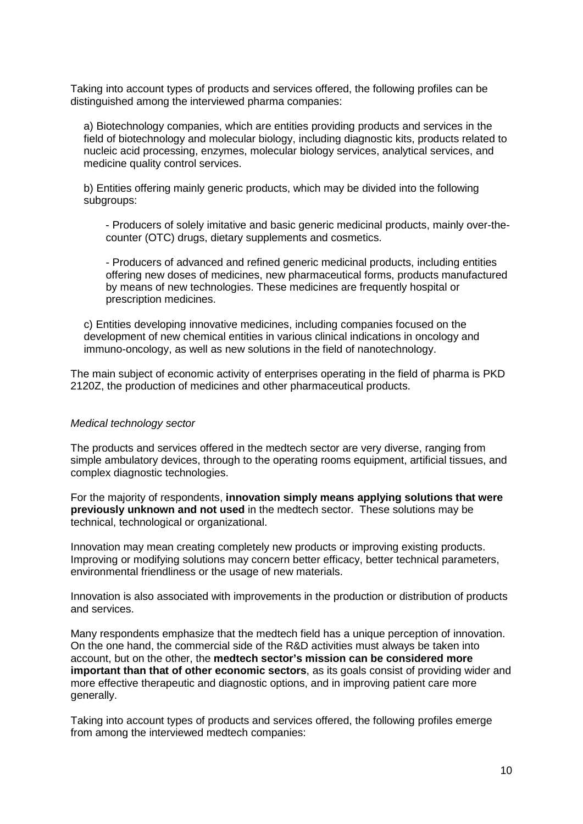Taking into account types of products and services offered, the following profiles can be distinguished among the interviewed pharma companies:

a) Biotechnology companies, which are entities providing products and services in the field of biotechnology and molecular biology, including diagnostic kits, products related to nucleic acid processing, enzymes, molecular biology services, analytical services, and medicine quality control services.

b) Entities offering mainly generic products, which may be divided into the following subgroups:

- Producers of solely imitative and basic generic medicinal products, mainly over-thecounter (OTC) drugs, dietary supplements and cosmetics.

- Producers of advanced and refined generic medicinal products, including entities offering new doses of medicines, new pharmaceutical forms, products manufactured by means of new technologies. These medicines are frequently hospital or prescription medicines.

c) Entities developing innovative medicines, including companies focused on the development of new chemical entities in various clinical indications in oncology and immuno-oncology, as well as new solutions in the field of nanotechnology.

The main subject of economic activity of enterprises operating in the field of pharma is PKD 2120Z, the production of medicines and other pharmaceutical products.

#### *Medical technology sector*

The products and services offered in the medtech sector are very diverse, ranging from simple ambulatory devices, through to the operating rooms equipment, artificial tissues, and complex diagnostic technologies.

For the majority of respondents, **innovation simply means applying solutions that were previously unknown and not used** in the medtech sector. These solutions may be technical, technological or organizational.

Innovation may mean creating completely new products or improving existing products. Improving or modifying solutions may concern better efficacy, better technical parameters, environmental friendliness or the usage of new materials.

Innovation is also associated with improvements in the production or distribution of products and services.

Many respondents emphasize that the medtech field has a unique perception of innovation. On the one hand, the commercial side of the R&D activities must always be taken into account, but on the other, the **medtech sector's mission can be considered more important than that of other economic sectors**, as its goals consist of providing wider and more effective therapeutic and diagnostic options, and in improving patient care more generally.

Taking into account types of products and services offered, the following profiles emerge from among the interviewed medtech companies: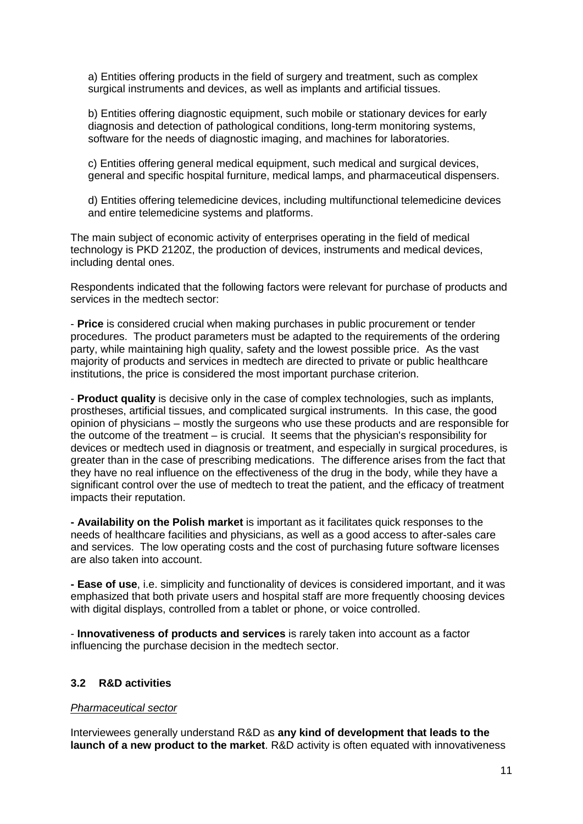a) Entities offering products in the field of surgery and treatment, such as complex surgical instruments and devices, as well as implants and artificial tissues.

b) Entities offering diagnostic equipment, such mobile or stationary devices for early diagnosis and detection of pathological conditions, long-term monitoring systems, software for the needs of diagnostic imaging, and machines for laboratories.

c) Entities offering general medical equipment, such medical and surgical devices, general and specific hospital furniture, medical lamps, and pharmaceutical dispensers.

d) Entities offering telemedicine devices, including multifunctional telemedicine devices and entire telemedicine systems and platforms.

The main subject of economic activity of enterprises operating in the field of medical technology is PKD 2120Z, the production of devices, instruments and medical devices, including dental ones.

Respondents indicated that the following factors were relevant for purchase of products and services in the medtech sector:

- **Price** is considered crucial when making purchases in public procurement or tender procedures. The product parameters must be adapted to the requirements of the ordering party, while maintaining high quality, safety and the lowest possible price. As the vast majority of products and services in medtech are directed to private or public healthcare institutions, the price is considered the most important purchase criterion.

- **Product quality** is decisive only in the case of complex technologies, such as implants, prostheses, artificial tissues, and complicated surgical instruments. In this case, the good opinion of physicians – mostly the surgeons who use these products and are responsible for the outcome of the treatment – is crucial. It seems that the physician's responsibility for devices or medtech used in diagnosis or treatment, and especially in surgical procedures, is greater than in the case of prescribing medications. The difference arises from the fact that they have no real influence on the effectiveness of the drug in the body, while they have a significant control over the use of medtech to treat the patient, and the efficacy of treatment impacts their reputation.

**- Availability on the Polish market** is important as it facilitates quick responses to the needs of healthcare facilities and physicians, as well as a good access to after-sales care and services. The low operating costs and the cost of purchasing future software licenses are also taken into account.

**- Ease of use**, i.e. simplicity and functionality of devices is considered important, and it was emphasized that both private users and hospital staff are more frequently choosing devices with digital displays, controlled from a tablet or phone, or voice controlled.

- **Innovativeness of products and services** is rarely taken into account as a factor influencing the purchase decision in the medtech sector.

## **3.2 R&D activities**

## *Pharmaceutical sector*

Interviewees generally understand R&D as **any kind of development that leads to the launch of a new product to the market**. R&D activity is often equated with innovativeness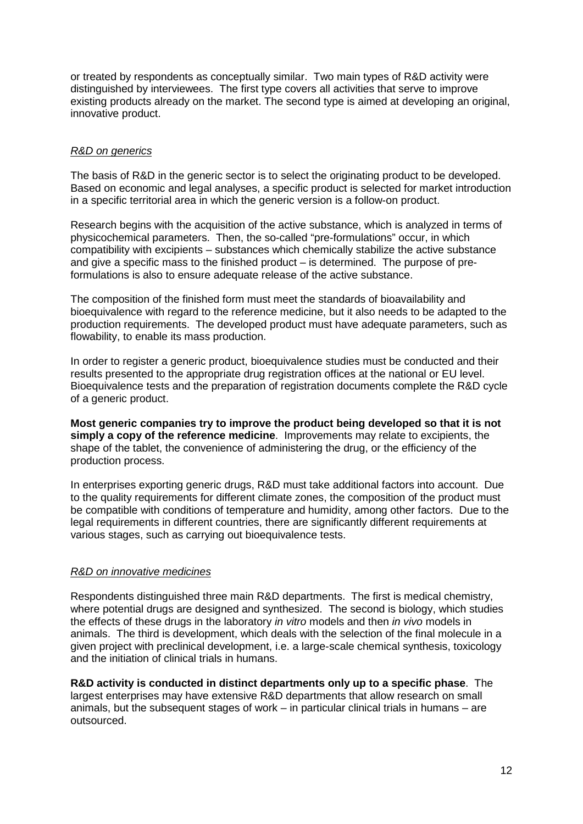or treated by respondents as conceptually similar. Two main types of R&D activity were distinguished by interviewees. The first type covers all activities that serve to improve existing products already on the market. The second type is aimed at developing an original, innovative product.

#### *R&D on generics*

The basis of R&D in the generic sector is to select the originating product to be developed. Based on economic and legal analyses, a specific product is selected for market introduction in a specific territorial area in which the generic version is a follow-on product.

Research begins with the acquisition of the active substance, which is analyzed in terms of physicochemical parameters. Then, the so-called "pre-formulations" occur, in which compatibility with excipients – substances which chemically stabilize the active substance and give a specific mass to the finished product – is determined. The purpose of preformulations is also to ensure adequate release of the active substance.

The composition of the finished form must meet the standards of bioavailability and bioequivalence with regard to the reference medicine, but it also needs to be adapted to the production requirements. The developed product must have adequate parameters, such as flowability, to enable its mass production.

In order to register a generic product, bioequivalence studies must be conducted and their results presented to the appropriate drug registration offices at the national or EU level. Bioequivalence tests and the preparation of registration documents complete the R&D cycle of a generic product.

**Most generic companies try to improve the product being developed so that it is not simply a copy of the reference medicine**. Improvements may relate to excipients, the shape of the tablet, the convenience of administering the drug, or the efficiency of the production process.

In enterprises exporting generic drugs, R&D must take additional factors into account. Due to the quality requirements for different climate zones, the composition of the product must be compatible with conditions of temperature and humidity, among other factors. Due to the legal requirements in different countries, there are significantly different requirements at various stages, such as carrying out bioequivalence tests.

## *R&D on innovative medicines*

Respondents distinguished three main R&D departments. The first is medical chemistry, where potential drugs are designed and synthesized. The second is biology, which studies the effects of these drugs in the laboratory *in vitro* models and then *in vivo* models in animals. The third is development, which deals with the selection of the final molecule in a given project with preclinical development, i.e. a large-scale chemical synthesis, toxicology and the initiation of clinical trials in humans.

**R&D activity is conducted in distinct departments only up to a specific phase**. The largest enterprises may have extensive R&D departments that allow research on small animals, but the subsequent stages of work – in particular clinical trials in humans – are outsourced.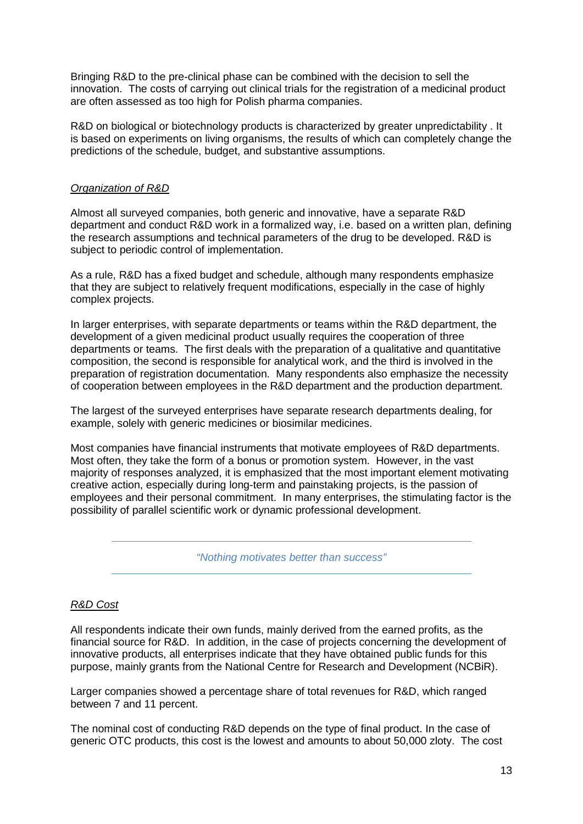Bringing R&D to the pre-clinical phase can be combined with the decision to sell the innovation. The costs of carrying out clinical trials for the registration of a medicinal product are often assessed as too high for Polish pharma companies.

R&D on biological or biotechnology products is characterized by greater unpredictability . It is based on experiments on living organisms, the results of which can completely change the predictions of the schedule, budget, and substantive assumptions.

## *Organization of R&D*

Almost all surveyed companies, both generic and innovative, have a separate R&D department and conduct R&D work in a formalized way, i.e. based on a written plan, defining the research assumptions and technical parameters of the drug to be developed. R&D is subject to periodic control of implementation.

As a rule, R&D has a fixed budget and schedule, although many respondents emphasize that they are subject to relatively frequent modifications, especially in the case of highly complex projects.

In larger enterprises, with separate departments or teams within the R&D department, the development of a given medicinal product usually requires the cooperation of three departments or teams. The first deals with the preparation of a qualitative and quantitative composition, the second is responsible for analytical work, and the third is involved in the preparation of registration documentation. Many respondents also emphasize the necessity of cooperation between employees in the R&D department and the production department.

The largest of the surveyed enterprises have separate research departments dealing, for example, solely with generic medicines or biosimilar medicines.

Most companies have financial instruments that motivate employees of R&D departments. Most often, they take the form of a bonus or promotion system. However, in the vast majority of responses analyzed, it is emphasized that the most important element motivating creative action, especially during long-term and painstaking projects, is the passion of employees and their personal commitment. In many enterprises, the stimulating factor is the possibility of parallel scientific work or dynamic professional development.

*"Nothing motivates better than success"*

# *R&D Cost*

All respondents indicate their own funds, mainly derived from the earned profits, as the financial source for R&D. In addition, in the case of projects concerning the development of innovative products, all enterprises indicate that they have obtained public funds for this purpose, mainly grants from the National Centre for Research and Development (NCBiR).

Larger companies showed a percentage share of total revenues for R&D, which ranged between 7 and 11 percent.

The nominal cost of conducting R&D depends on the type of final product. In the case of generic OTC products, this cost is the lowest and amounts to about 50,000 zloty. The cost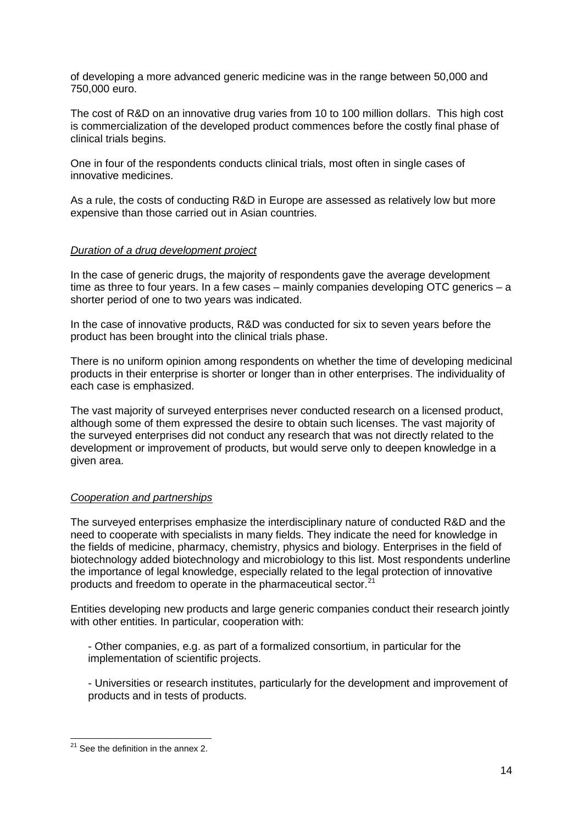of developing a more advanced generic medicine was in the range between 50,000 and 750,000 euro.

The cost of R&D on an innovative drug varies from 10 to 100 million dollars. This high cost is commercialization of the developed product commences before the costly final phase of clinical trials begins.

One in four of the respondents conducts clinical trials, most often in single cases of innovative medicines.

As a rule, the costs of conducting R&D in Europe are assessed as relatively low but more expensive than those carried out in Asian countries.

## *Duration of a drug development project*

In the case of generic drugs, the majority of respondents gave the average development time as three to four years. In a few cases – mainly companies developing OTC generics – a shorter period of one to two years was indicated.

In the case of innovative products, R&D was conducted for six to seven years before the product has been brought into the clinical trials phase.

There is no uniform opinion among respondents on whether the time of developing medicinal products in their enterprise is shorter or longer than in other enterprises. The individuality of each case is emphasized.

The vast majority of surveyed enterprises never conducted research on a licensed product, although some of them expressed the desire to obtain such licenses. The vast majority of the surveyed enterprises did not conduct any research that was not directly related to the development or improvement of products, but would serve only to deepen knowledge in a given area.

## *Cooperation and partnerships*

The surveyed enterprises emphasize the interdisciplinary nature of conducted R&D and the need to cooperate with specialists in many fields. They indicate the need for knowledge in the fields of medicine, pharmacy, chemistry, physics and biology. Enterprises in the field of biotechnology added biotechnology and microbiology to this list. Most respondents underline the importance of legal knowledge, especially related to the legal protection of innovative products and freedom to operate in the pharmaceutical sector.[21](#page-5-0)

Entities developing new products and large generic companies conduct their research jointly with other entities. In particular, cooperation with:

- Other companies, e.g. as part of a formalized consortium, in particular for the implementation of scientific projects.

- Universities or research institutes, particularly for the development and improvement of products and in tests of products.

<span id="page-14-0"></span> $21$  See the definition in the annex 2.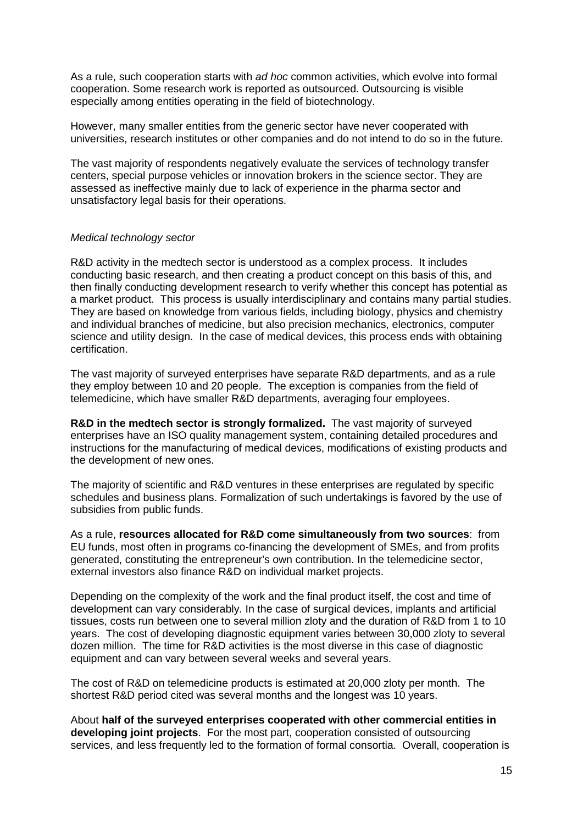As a rule, such cooperation starts with *ad hoc* common activities, which evolve into formal cooperation. Some research work is reported as outsourced. Outsourcing is visible especially among entities operating in the field of biotechnology.

However, many smaller entities from the generic sector have never cooperated with universities, research institutes or other companies and do not intend to do so in the future.

The vast majority of respondents negatively evaluate the services of technology transfer centers, special purpose vehicles or innovation brokers in the science sector. They are assessed as ineffective mainly due to lack of experience in the pharma sector and unsatisfactory legal basis for their operations.

#### *Medical technology sector*

R&D activity in the medtech sector is understood as a complex process. It includes conducting basic research, and then creating a product concept on this basis of this, and then finally conducting development research to verify whether this concept has potential as a market product. This process is usually interdisciplinary and contains many partial studies. They are based on knowledge from various fields, including biology, physics and chemistry and individual branches of medicine, but also precision mechanics, electronics, computer science and utility design. In the case of medical devices, this process ends with obtaining certification.

The vast majority of surveyed enterprises have separate R&D departments, and as a rule they employ between 10 and 20 people. The exception is companies from the field of telemedicine, which have smaller R&D departments, averaging four employees.

**R&D in the medtech sector is strongly formalized.** The vast majority of surveyed enterprises have an ISO quality management system, containing detailed procedures and instructions for the manufacturing of medical devices, modifications of existing products and the development of new ones.

The majority of scientific and R&D ventures in these enterprises are regulated by specific schedules and business plans. Formalization of such undertakings is favored by the use of subsidies from public funds.

As a rule, **resources allocated for R&D come simultaneously from two sources**: from EU funds, most often in programs co-financing the development of SMEs, and from profits generated, constituting the entrepreneur's own contribution. In the telemedicine sector, external investors also finance R&D on individual market projects.

Depending on the complexity of the work and the final product itself, the cost and time of development can vary considerably. In the case of surgical devices, implants and artificial tissues, costs run between one to several million zloty and the duration of R&D from 1 to 10 years. The cost of developing diagnostic equipment varies between 30,000 zloty to several dozen million. The time for R&D activities is the most diverse in this case of diagnostic equipment and can vary between several weeks and several years.

The cost of R&D on telemedicine products is estimated at 20,000 zloty per month. The shortest R&D period cited was several months and the longest was 10 years.

About **half of the surveyed enterprises cooperated with other commercial entities in developing joint projects**. For the most part, cooperation consisted of outsourcing services, and less frequently led to the formation of formal consortia. Overall, cooperation is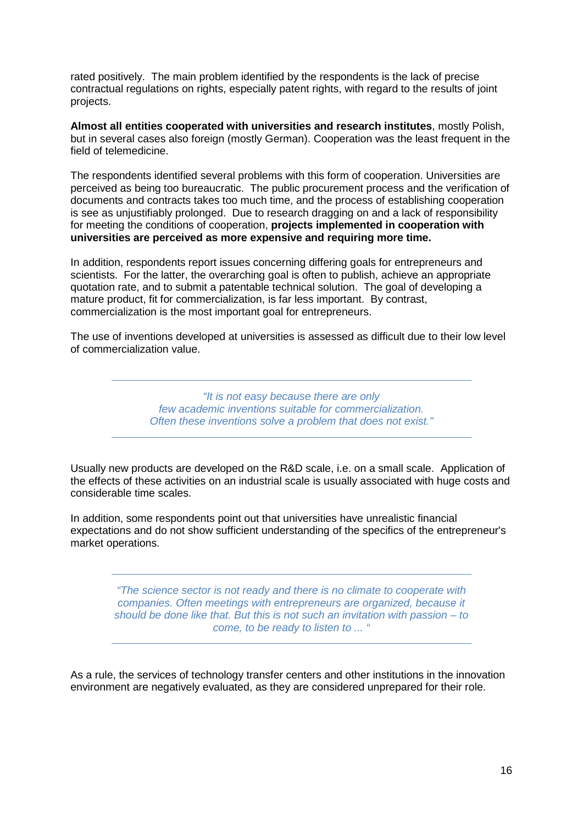rated positively. The main problem identified by the respondents is the lack of precise contractual regulations on rights, especially patent rights, with regard to the results of joint projects.

**Almost all entities cooperated with universities and research institutes**, mostly Polish, but in several cases also foreign (mostly German). Cooperation was the least frequent in the field of telemedicine.

The respondents identified several problems with this form of cooperation. Universities are perceived as being too bureaucratic. The public procurement process and the verification of documents and contracts takes too much time, and the process of establishing cooperation is see as unjustifiably prolonged. Due to research dragging on and a lack of responsibility for meeting the conditions of cooperation, **projects implemented in cooperation with universities are perceived as more expensive and requiring more time.**

In addition, respondents report issues concerning differing goals for entrepreneurs and scientists. For the latter, the overarching goal is often to publish, achieve an appropriate quotation rate, and to submit a patentable technical solution. The goal of developing a mature product, fit for commercialization, is far less important. By contrast, commercialization is the most important goal for entrepreneurs.

The use of inventions developed at universities is assessed as difficult due to their low level of commercialization value.

> *"It is not easy because there are only few academic inventions suitable for commercialization. Often these inventions solve a problem that does not exist."*

Usually new products are developed on the R&D scale, i.e. on a small scale. Application of the effects of these activities on an industrial scale is usually associated with huge costs and considerable time scales.

In addition, some respondents point out that universities have unrealistic financial expectations and do not show sufficient understanding of the specifics of the entrepreneur's market operations.

*"The science sector is not ready and there is no climate to cooperate with companies. Often meetings with entrepreneurs are organized, because it should be done like that. But this is not such an invitation with passion – to come, to be ready to listen to ... "*

As a rule, the services of technology transfer centers and other institutions in the innovation environment are negatively evaluated, as they are considered unprepared for their role.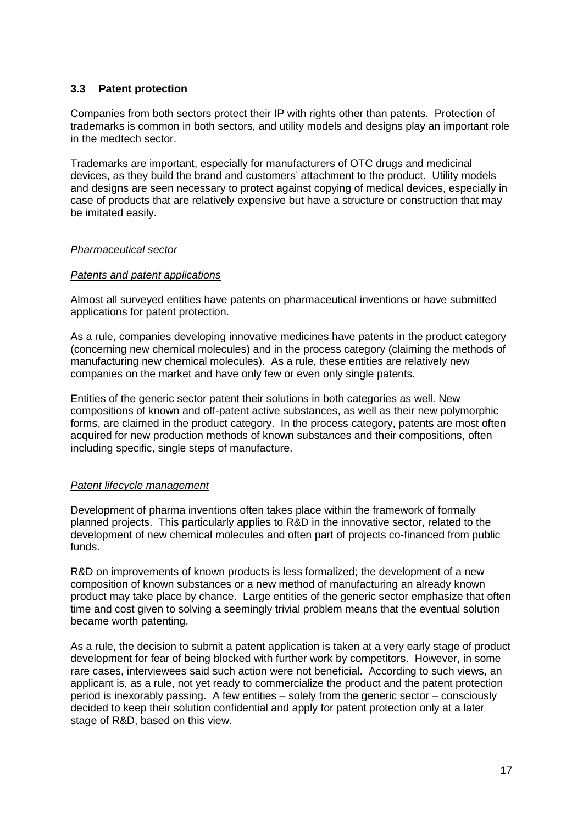# **3.3 Patent protection**

Companies from both sectors protect their IP with rights other than patents. Protection of trademarks is common in both sectors, and utility models and designs play an important role in the medtech sector.

Trademarks are important, especially for manufacturers of OTC drugs and medicinal devices, as they build the brand and customers' attachment to the product. Utility models and designs are seen necessary to protect against copying of medical devices, especially in case of products that are relatively expensive but have a structure or construction that may be imitated easily.

## *Pharmaceutical sector*

#### *Patents and patent applications*

Almost all surveyed entities have patents on pharmaceutical inventions or have submitted applications for patent protection.

As a rule, companies developing innovative medicines have patents in the product category (concerning new chemical molecules) and in the process category (claiming the methods of manufacturing new chemical molecules). As a rule, these entities are relatively new companies on the market and have only few or even only single patents.

Entities of the generic sector patent their solutions in both categories as well. New compositions of known and off-patent active substances, as well as their new polymorphic forms, are claimed in the product category. In the process category, patents are most often acquired for new production methods of known substances and their compositions, often including specific, single steps of manufacture.

## *Patent lifecycle management*

Development of pharma inventions often takes place within the framework of formally planned projects. This particularly applies to R&D in the innovative sector, related to the development of new chemical molecules and often part of projects co-financed from public funds.

R&D on improvements of known products is less formalized; the development of a new composition of known substances or a new method of manufacturing an already known product may take place by chance. Large entities of the generic sector emphasize that often time and cost given to solving a seemingly trivial problem means that the eventual solution became worth patenting.

As a rule, the decision to submit a patent application is taken at a very early stage of product development for fear of being blocked with further work by competitors. However, in some rare cases, interviewees said such action were not beneficial. According to such views, an applicant is, as a rule, not yet ready to commercialize the product and the patent protection period is inexorably passing. A few entities – solely from the generic sector – consciously decided to keep their solution confidential and apply for patent protection only at a later stage of R&D, based on this view.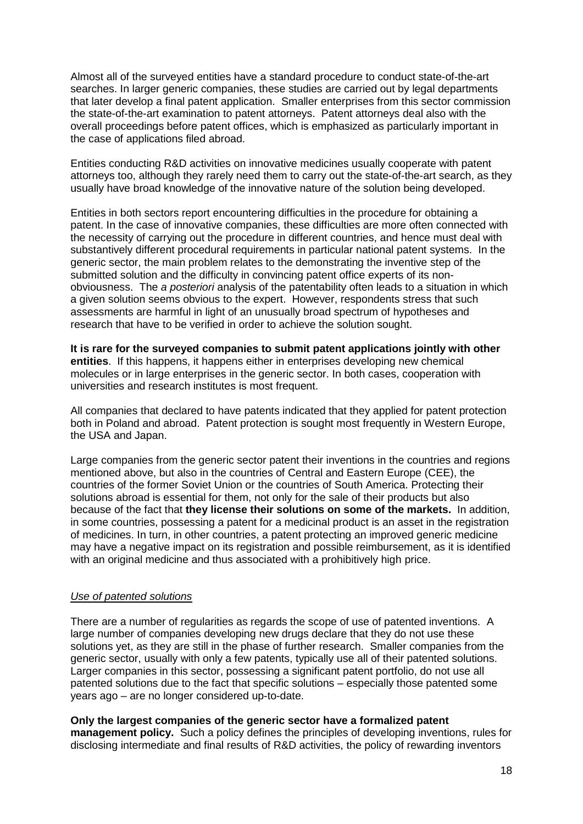Almost all of the surveyed entities have a standard procedure to conduct state-of-the-art searches. In larger generic companies, these studies are carried out by legal departments that later develop a final patent application. Smaller enterprises from this sector commission the state-of-the-art examination to patent attorneys. Patent attorneys deal also with the overall proceedings before patent offices, which is emphasized as particularly important in the case of applications filed abroad.

Entities conducting R&D activities on innovative medicines usually cooperate with patent attorneys too, although they rarely need them to carry out the state-of-the-art search, as they usually have broad knowledge of the innovative nature of the solution being developed.

Entities in both sectors report encountering difficulties in the procedure for obtaining a patent. In the case of innovative companies, these difficulties are more often connected with the necessity of carrying out the procedure in different countries, and hence must deal with substantively different procedural requirements in particular national patent systems. In the generic sector, the main problem relates to the demonstrating the inventive step of the submitted solution and the difficulty in convincing patent office experts of its nonobviousness. The *a posteriori* analysis of the patentability often leads to a situation in which a given solution seems obvious to the expert. However, respondents stress that such assessments are harmful in light of an unusually broad spectrum of hypotheses and research that have to be verified in order to achieve the solution sought.

**It is rare for the surveyed companies to submit patent applications jointly with other entities**. If this happens, it happens either in enterprises developing new chemical molecules or in large enterprises in the generic sector. In both cases, cooperation with universities and research institutes is most frequent.

All companies that declared to have patents indicated that they applied for patent protection both in Poland and abroad. Patent protection is sought most frequently in Western Europe, the USA and Japan.

Large companies from the generic sector patent their inventions in the countries and regions mentioned above, but also in the countries of Central and Eastern Europe (CEE), the countries of the former Soviet Union or the countries of South America. Protecting their solutions abroad is essential for them, not only for the sale of their products but also because of the fact that **they license their solutions on some of the markets.** In addition, in some countries, possessing a patent for a medicinal product is an asset in the registration of medicines. In turn, in other countries, a patent protecting an improved generic medicine may have a negative impact on its registration and possible reimbursement, as it is identified with an original medicine and thus associated with a prohibitively high price.

## *Use of patented solutions*

There are a number of regularities as regards the scope of use of patented inventions. A large number of companies developing new drugs declare that they do not use these solutions yet, as they are still in the phase of further research. Smaller companies from the generic sector, usually with only a few patents, typically use all of their patented solutions. Larger companies in this sector, possessing a significant patent portfolio, do not use all patented solutions due to the fact that specific solutions – especially those patented some years ago – are no longer considered up-to-date.

**Only the largest companies of the generic sector have a formalized patent management policy.** Such a policy defines the principles of developing inventions, rules for disclosing intermediate and final results of R&D activities, the policy of rewarding inventors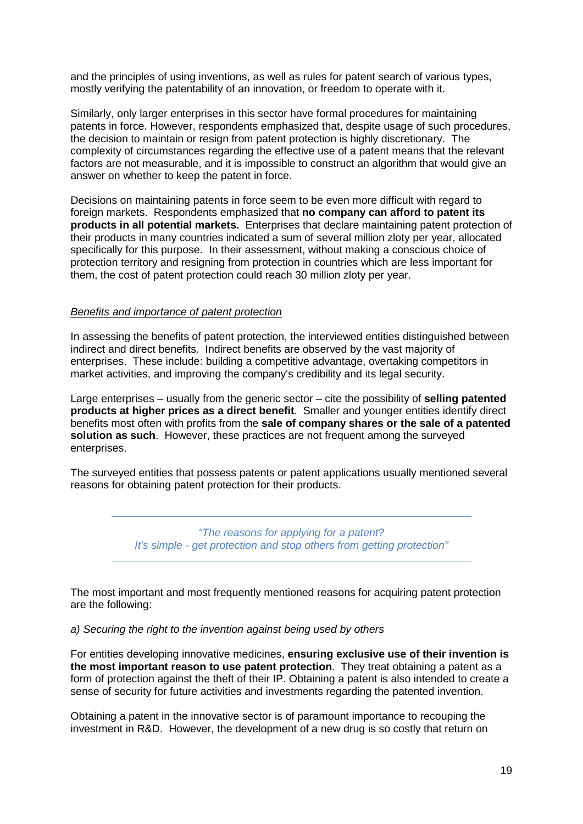and the principles of using inventions, as well as rules for patent search of various types, mostly verifying the patentability of an innovation, or freedom to operate with it.

Similarly, only larger enterprises in this sector have formal procedures for maintaining patents in force. However, respondents emphasized that, despite usage of such procedures, the decision to maintain or resign from patent protection is highly discretionary. The complexity of circumstances regarding the effective use of a patent means that the relevant factors are not measurable, and it is impossible to construct an algorithm that would give an answer on whether to keep the patent in force.

Decisions on maintaining patents in force seem to be even more difficult with regard to foreign markets. Respondents emphasized that **no company can afford to patent its products in all potential markets.** Enterprises that declare maintaining patent protection of their products in many countries indicated a sum of several million zloty per year, allocated specifically for this purpose. In their assessment, without making a conscious choice of protection territory and resigning from protection in countries which are less important for them, the cost of patent protection could reach 30 million zloty per year.

#### *Benefits and importance of patent protection*

In assessing the benefits of patent protection, the interviewed entities distinguished between indirect and direct benefits. Indirect benefits are observed by the vast majority of enterprises. These include: building a competitive advantage, overtaking competitors in market activities, and improving the company's credibility and its legal security.

Large enterprises – usually from the generic sector – cite the possibility of **selling patented products at higher prices as a direct benefit**. Smaller and younger entities identify direct benefits most often with profits from the **sale of company shares or the sale of a patented solution as such**. However, these practices are not frequent among the surveyed enterprises.

The surveyed entities that possess patents or patent applications usually mentioned several reasons for obtaining patent protection for their products.

> *"The reasons for applying for a patent? It's simple - get protection and stop others from getting protection"*

The most important and most frequently mentioned reasons for acquiring patent protection are the following:

#### *a) Securing the right to the invention against being used by others*

For entities developing innovative medicines, **ensuring exclusive use of their invention is the most important reason to use patent protection**. They treat obtaining a patent as a form of protection against the theft of their IP. Obtaining a patent is also intended to create a sense of security for future activities and investments regarding the patented invention.

Obtaining a patent in the innovative sector is of paramount importance to recouping the investment in R&D. However, the development of a new drug is so costly that return on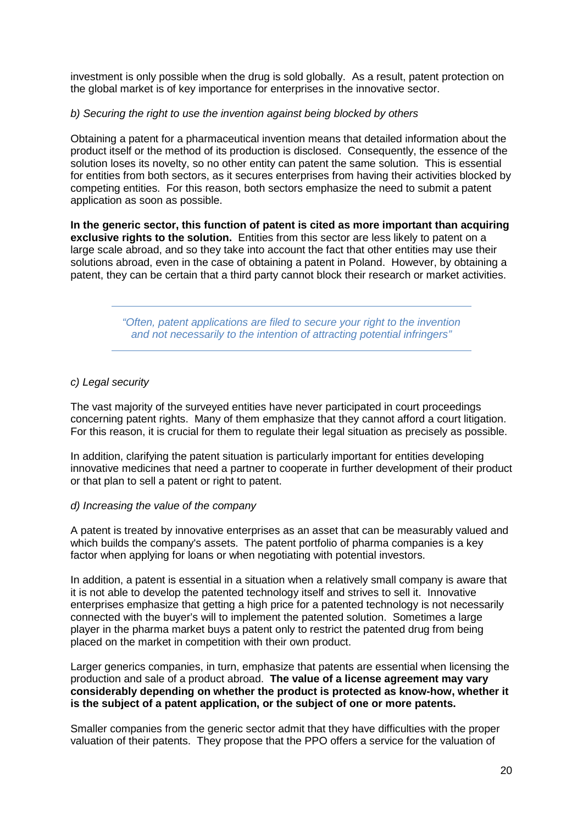investment is only possible when the drug is sold globally. As a result, patent protection on the global market is of key importance for enterprises in the innovative sector.

## *b) Securing the right to use the invention against being blocked by others*

Obtaining a patent for a pharmaceutical invention means that detailed information about the product itself or the method of its production is disclosed. Consequently, the essence of the solution loses its novelty, so no other entity can patent the same solution. This is essential for entities from both sectors, as it secures enterprises from having their activities blocked by competing entities. For this reason, both sectors emphasize the need to submit a patent application as soon as possible.

**In the generic sector, this function of patent is cited as more important than acquiring exclusive rights to the solution.** Entities from this sector are less likely to patent on a large scale abroad, and so they take into account the fact that other entities may use their solutions abroad, even in the case of obtaining a patent in Poland. However, by obtaining a patent, they can be certain that a third party cannot block their research or market activities.

> *"Often, patent applications are filed to secure your right to the invention and not necessarily to the intention of attracting potential infringers"*

## *c) Legal security*

The vast majority of the surveyed entities have never participated in court proceedings concerning patent rights. Many of them emphasize that they cannot afford a court litigation. For this reason, it is crucial for them to regulate their legal situation as precisely as possible.

In addition, clarifying the patent situation is particularly important for entities developing innovative medicines that need a partner to cooperate in further development of their product or that plan to sell a patent or right to patent.

## *d) Increasing the value of the company*

A patent is treated by innovative enterprises as an asset that can be measurably valued and which builds the company's assets. The patent portfolio of pharma companies is a key factor when applying for loans or when negotiating with potential investors.

In addition, a patent is essential in a situation when a relatively small company is aware that it is not able to develop the patented technology itself and strives to sell it. Innovative enterprises emphasize that getting a high price for a patented technology is not necessarily connected with the buyer's will to implement the patented solution. Sometimes a large player in the pharma market buys a patent only to restrict the patented drug from being placed on the market in competition with their own product.

Larger generics companies, in turn, emphasize that patents are essential when licensing the production and sale of a product abroad. **The value of a license agreement may vary considerably depending on whether the product is protected as know-how, whether it is the subject of a patent application, or the subject of one or more patents.**

Smaller companies from the generic sector admit that they have difficulties with the proper valuation of their patents. They propose that the PPO offers a service for the valuation of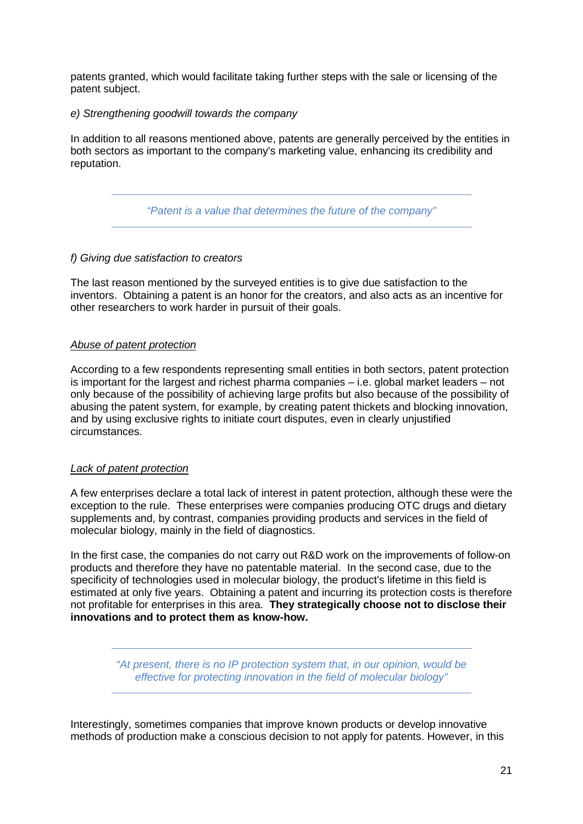patents granted, which would facilitate taking further steps with the sale or licensing of the patent subject.

## *e) Strengthening goodwill towards the company*

In addition to all reasons mentioned above, patents are generally perceived by the entities in both sectors as important to the company's marketing value, enhancing its credibility and reputation.

*"Patent is a value that determines the future of the company"*

#### *f) Giving due satisfaction to creators*

The last reason mentioned by the surveyed entities is to give due satisfaction to the inventors. Obtaining a patent is an honor for the creators, and also acts as an incentive for other researchers to work harder in pursuit of their goals.

#### *Abuse of patent protection*

According to a few respondents representing small entities in both sectors, patent protection is important for the largest and richest pharma companies – i.e. global market leaders – not only because of the possibility of achieving large profits but also because of the possibility of abusing the patent system, for example, by creating patent thickets and blocking innovation, and by using exclusive rights to initiate court disputes, even in clearly unjustified circumstances.

#### *Lack of patent protection*

A few enterprises declare a total lack of interest in patent protection, although these were the exception to the rule. These enterprises were companies producing OTC drugs and dietary supplements and, by contrast, companies providing products and services in the field of molecular biology, mainly in the field of diagnostics.

In the first case, the companies do not carry out R&D work on the improvements of follow-on products and therefore they have no patentable material. In the second case, due to the specificity of technologies used in molecular biology, the product's lifetime in this field is estimated at only five years. Obtaining a patent and incurring its protection costs is therefore not profitable for enterprises in this area. **They strategically choose not to disclose their innovations and to protect them as know-how.**

> *"At present, there is no IP protection system that, in our opinion, would be effective for protecting innovation in the field of molecular biology"*

Interestingly, sometimes companies that improve known products or develop innovative methods of production make a conscious decision to not apply for patents. However, in this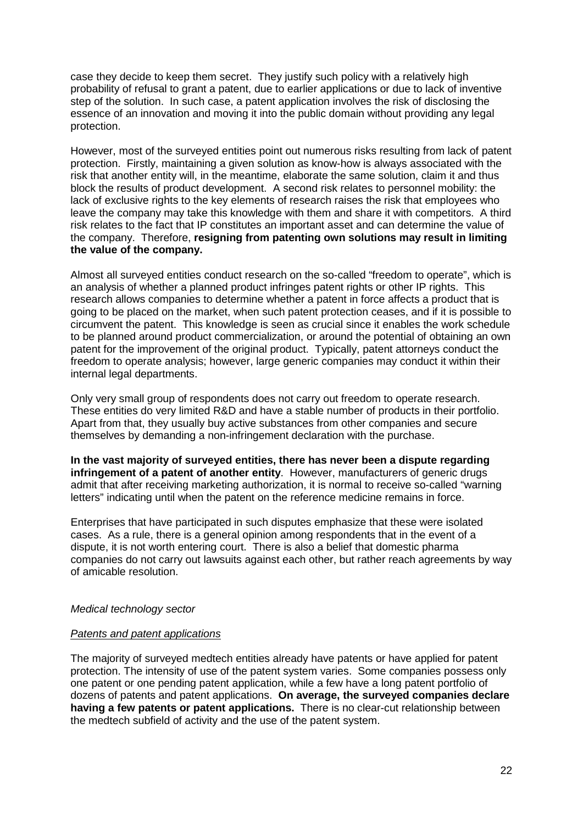case they decide to keep them secret. They justify such policy with a relatively high probability of refusal to grant a patent, due to earlier applications or due to lack of inventive step of the solution. In such case, a patent application involves the risk of disclosing the essence of an innovation and moving it into the public domain without providing any legal protection.

However, most of the surveyed entities point out numerous risks resulting from lack of patent protection. Firstly, maintaining a given solution as know-how is always associated with the risk that another entity will, in the meantime, elaborate the same solution, claim it and thus block the results of product development. A second risk relates to personnel mobility: the lack of exclusive rights to the key elements of research raises the risk that employees who leave the company may take this knowledge with them and share it with competitors. A third risk relates to the fact that IP constitutes an important asset and can determine the value of the company. Therefore, **resigning from patenting own solutions may result in limiting the value of the company.** 

Almost all surveyed entities conduct research on the so-called "freedom to operate", which is an analysis of whether a planned product infringes patent rights or other IP rights. This research allows companies to determine whether a patent in force affects a product that is going to be placed on the market, when such patent protection ceases, and if it is possible to circumvent the patent. This knowledge is seen as crucial since it enables the work schedule to be planned around product commercialization, or around the potential of obtaining an own patent for the improvement of the original product. Typically, patent attorneys conduct the freedom to operate analysis; however, large generic companies may conduct it within their internal legal departments.

Only very small group of respondents does not carry out freedom to operate research. These entities do very limited R&D and have a stable number of products in their portfolio. Apart from that, they usually buy active substances from other companies and secure themselves by demanding a non-infringement declaration with the purchase.

**In the vast majority of surveyed entities, there has never been a dispute regarding infringement of a patent of another entity**. However, manufacturers of generic drugs admit that after receiving marketing authorization, it is normal to receive so-called "warning letters" indicating until when the patent on the reference medicine remains in force.

Enterprises that have participated in such disputes emphasize that these were isolated cases. As a rule, there is a general opinion among respondents that in the event of a dispute, it is not worth entering court. There is also a belief that domestic pharma companies do not carry out lawsuits against each other, but rather reach agreements by way of amicable resolution.

#### *Medical technology sector*

#### *Patents and patent applications*

The majority of surveyed medtech entities already have patents or have applied for patent protection. The intensity of use of the patent system varies. Some companies possess only one patent or one pending patent application, while a few have a long patent portfolio of dozens of patents and patent applications. **On average, the surveyed companies declare having a few patents or patent applications.** There is no clear-cut relationship between the medtech subfield of activity and the use of the patent system.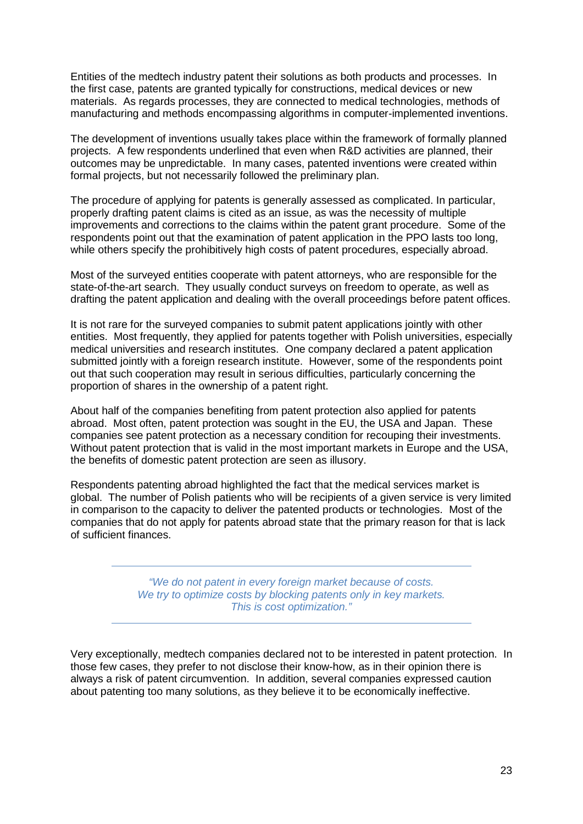Entities of the medtech industry patent their solutions as both products and processes. In the first case, patents are granted typically for constructions, medical devices or new materials. As regards processes, they are connected to medical technologies, methods of manufacturing and methods encompassing algorithms in computer-implemented inventions.

The development of inventions usually takes place within the framework of formally planned projects. A few respondents underlined that even when R&D activities are planned, their outcomes may be unpredictable. In many cases, patented inventions were created within formal projects, but not necessarily followed the preliminary plan.

The procedure of applying for patents is generally assessed as complicated. In particular, properly drafting patent claims is cited as an issue, as was the necessity of multiple improvements and corrections to the claims within the patent grant procedure. Some of the respondents point out that the examination of patent application in the PPO lasts too long, while others specify the prohibitively high costs of patent procedures, especially abroad.

Most of the surveyed entities cooperate with patent attorneys, who are responsible for the state-of-the-art search. They usually conduct surveys on freedom to operate, as well as drafting the patent application and dealing with the overall proceedings before patent offices.

It is not rare for the surveyed companies to submit patent applications jointly with other entities. Most frequently, they applied for patents together with Polish universities, especially medical universities and research institutes. One company declared a patent application submitted jointly with a foreign research institute. However, some of the respondents point out that such cooperation may result in serious difficulties, particularly concerning the proportion of shares in the ownership of a patent right.

About half of the companies benefiting from patent protection also applied for patents abroad. Most often, patent protection was sought in the EU, the USA and Japan. These companies see patent protection as a necessary condition for recouping their investments. Without patent protection that is valid in the most important markets in Europe and the USA, the benefits of domestic patent protection are seen as illusory.

Respondents patenting abroad highlighted the fact that the medical services market is global. The number of Polish patients who will be recipients of a given service is very limited in comparison to the capacity to deliver the patented products or technologies. Most of the companies that do not apply for patents abroad state that the primary reason for that is lack of sufficient finances.

> *"We do not patent in every foreign market because of costs. We try to optimize costs by blocking patents only in key markets. This is cost optimization."*

Very exceptionally, medtech companies declared not to be interested in patent protection. In those few cases, they prefer to not disclose their know-how, as in their opinion there is always a risk of patent circumvention. In addition, several companies expressed caution about patenting too many solutions, as they believe it to be economically ineffective.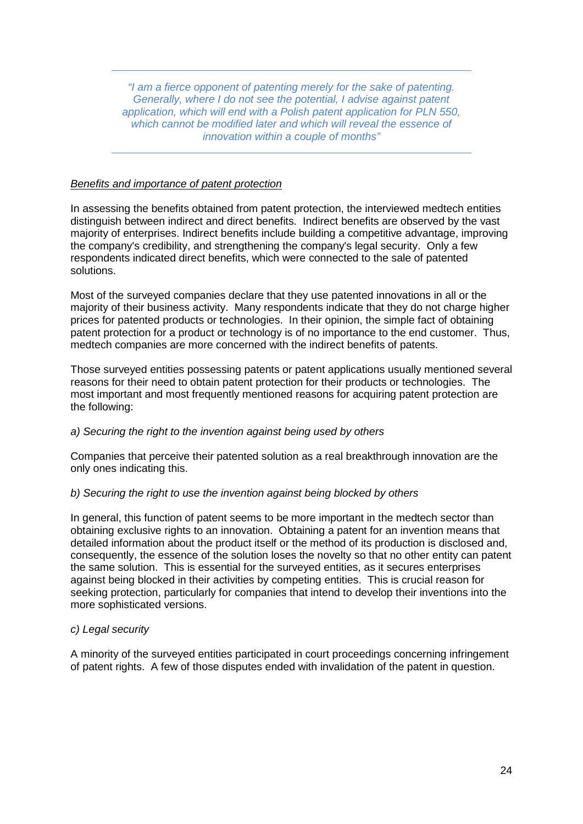*"I am a fierce opponent of patenting merely for the sake of patenting. Generally, where I do not see the potential, I advise against patent application, which will end with a Polish patent application for PLN 550, which cannot be modified later and which will reveal the essence of innovation within a couple of months"*

#### *Benefits and importance of patent protection*

In assessing the benefits obtained from patent protection, the interviewed medtech entities distinguish between indirect and direct benefits. Indirect benefits are observed by the vast majority of enterprises. Indirect benefits include building a competitive advantage, improving the company's credibility, and strengthening the company's legal security. Only a few respondents indicated direct benefits, which were connected to the sale of patented solutions.

Most of the surveyed companies declare that they use patented innovations in all or the majority of their business activity. Many respondents indicate that they do not charge higher prices for patented products or technologies. In their opinion, the simple fact of obtaining patent protection for a product or technology is of no importance to the end customer. Thus, medtech companies are more concerned with the indirect benefits of patents.

Those surveyed entities possessing patents or patent applications usually mentioned several reasons for their need to obtain patent protection for their products or technologies. The most important and most frequently mentioned reasons for acquiring patent protection are the following:

## *a) Securing the right to the invention against being used by others*

Companies that perceive their patented solution as a real breakthrough innovation are the only ones indicating this.

#### *b) Securing the right to use the invention against being blocked by others*

In general, this function of patent seems to be more important in the medtech sector than obtaining exclusive rights to an innovation. Obtaining a patent for an invention means that detailed information about the product itself or the method of its production is disclosed and, consequently, the essence of the solution loses the novelty so that no other entity can patent the same solution. This is essential for the surveyed entities, as it secures enterprises against being blocked in their activities by competing entities. This is crucial reason for seeking protection, particularly for companies that intend to develop their inventions into the more sophisticated versions.

#### *c) Legal security*

A minority of the surveyed entities participated in court proceedings concerning infringement of patent rights. A few of those disputes ended with invalidation of the patent in question.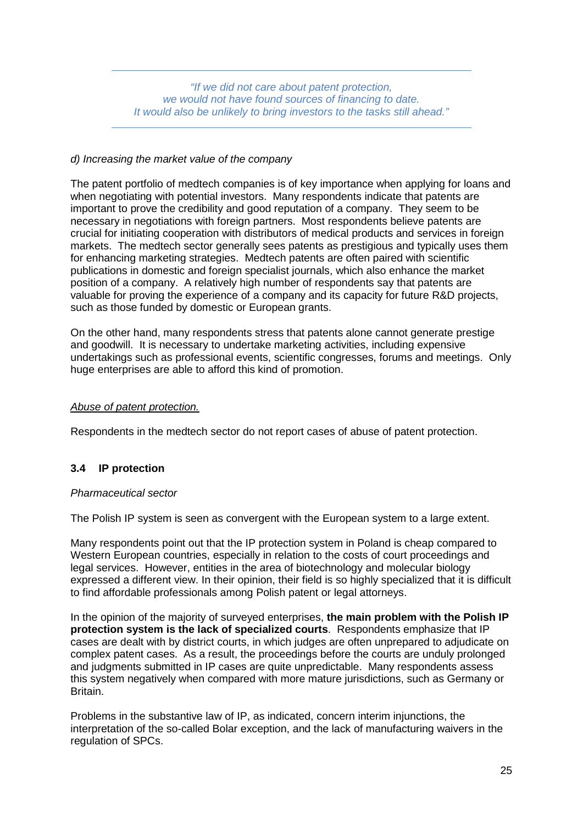*"If we did not care about patent protection, we would not have found sources of financing to date. It would also be unlikely to bring investors to the tasks still ahead."*

## *d) Increasing the market value of the company*

The patent portfolio of medtech companies is of key importance when applying for loans and when negotiating with potential investors. Many respondents indicate that patents are important to prove the credibility and good reputation of a company. They seem to be necessary in negotiations with foreign partners. Most respondents believe patents are crucial for initiating cooperation with distributors of medical products and services in foreign markets. The medtech sector generally sees patents as prestigious and typically uses them for enhancing marketing strategies. Medtech patents are often paired with scientific publications in domestic and foreign specialist journals, which also enhance the market position of a company. A relatively high number of respondents say that patents are valuable for proving the experience of a company and its capacity for future R&D projects, such as those funded by domestic or European grants.

On the other hand, many respondents stress that patents alone cannot generate prestige and goodwill. It is necessary to undertake marketing activities, including expensive undertakings such as professional events, scientific congresses, forums and meetings. Only huge enterprises are able to afford this kind of promotion.

#### *Abuse of patent protection.*

Respondents in the medtech sector do not report cases of abuse of patent protection.

## **3.4 IP protection**

#### *Pharmaceutical sector*

The Polish IP system is seen as convergent with the European system to a large extent.

Many respondents point out that the IP protection system in Poland is cheap compared to Western European countries, especially in relation to the costs of court proceedings and legal services. However, entities in the area of biotechnology and molecular biology expressed a different view. In their opinion, their field is so highly specialized that it is difficult to find affordable professionals among Polish patent or legal attorneys.

In the opinion of the majority of surveyed enterprises, **the main problem with the Polish IP protection system is the lack of specialized courts**. Respondents emphasize that IP cases are dealt with by district courts, in which judges are often unprepared to adjudicate on complex patent cases. As a result, the proceedings before the courts are unduly prolonged and judgments submitted in IP cases are quite unpredictable. Many respondents assess this system negatively when compared with more mature jurisdictions, such as Germany or Britain.

Problems in the substantive law of IP, as indicated, concern interim injunctions, the interpretation of the so-called Bolar exception, and the lack of manufacturing waivers in the regulation of SPCs.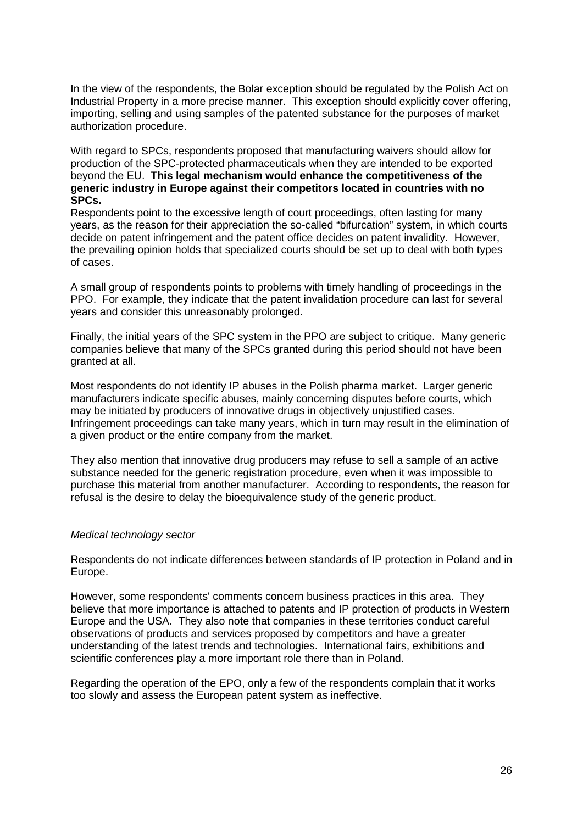In the view of the respondents, the Bolar exception should be regulated by the Polish Act on Industrial Property in a more precise manner. This exception should explicitly cover offering, importing, selling and using samples of the patented substance for the purposes of market authorization procedure.

With regard to SPCs, respondents proposed that manufacturing waivers should allow for production of the SPC-protected pharmaceuticals when they are intended to be exported beyond the EU. **This legal mechanism would enhance the competitiveness of the generic industry in Europe against their competitors located in countries with no SPCs.** 

Respondents point to the excessive length of court proceedings, often lasting for many years, as the reason for their appreciation the so-called "bifurcation" system, in which courts decide on patent infringement and the patent office decides on patent invalidity. However, the prevailing opinion holds that specialized courts should be set up to deal with both types of cases.

A small group of respondents points to problems with timely handling of proceedings in the PPO. For example, they indicate that the patent invalidation procedure can last for several years and consider this unreasonably prolonged.

Finally, the initial years of the SPC system in the PPO are subject to critique. Many generic companies believe that many of the SPCs granted during this period should not have been granted at all.

Most respondents do not identify IP abuses in the Polish pharma market. Larger generic manufacturers indicate specific abuses, mainly concerning disputes before courts, which may be initiated by producers of innovative drugs in objectively unjustified cases. Infringement proceedings can take many years, which in turn may result in the elimination of a given product or the entire company from the market.

They also mention that innovative drug producers may refuse to sell a sample of an active substance needed for the generic registration procedure, even when it was impossible to purchase this material from another manufacturer. According to respondents, the reason for refusal is the desire to delay the bioequivalence study of the generic product.

#### *Medical technology sector*

Respondents do not indicate differences between standards of IP protection in Poland and in Europe.

However, some respondents' comments concern business practices in this area. They believe that more importance is attached to patents and IP protection of products in Western Europe and the USA. They also note that companies in these territories conduct careful observations of products and services proposed by competitors and have a greater understanding of the latest trends and technologies. International fairs, exhibitions and scientific conferences play a more important role there than in Poland.

Regarding the operation of the EPO, only a few of the respondents complain that it works too slowly and assess the European patent system as ineffective.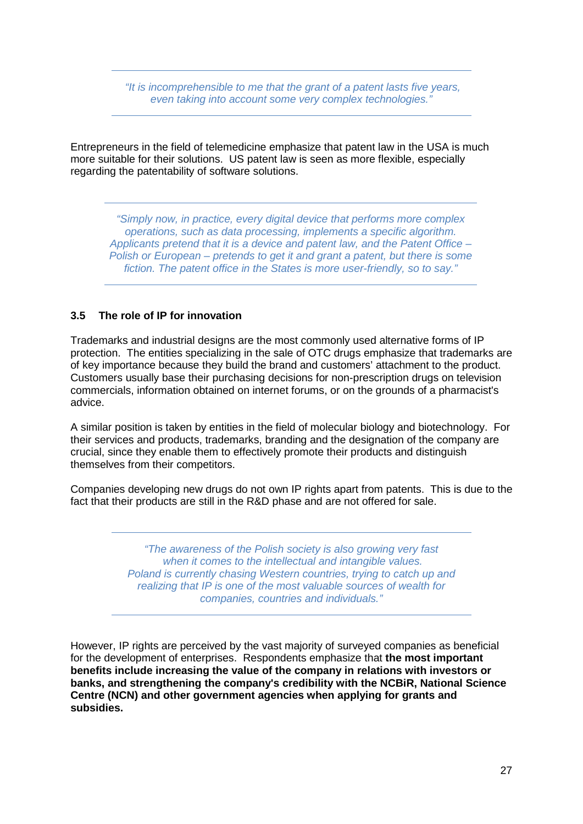*"It is incomprehensible to me that the grant of a patent lasts five years, even taking into account some very complex technologies."* 

Entrepreneurs in the field of telemedicine emphasize that patent law in the USA is much more suitable for their solutions. US patent law is seen as more flexible, especially regarding the patentability of software solutions.

*"Simply now, in practice, every digital device that performs more complex operations, such as data processing, implements a specific algorithm. Applicants pretend that it is a device and patent law, and the Patent Office – Polish or European – pretends to get it and grant a patent, but there is some fiction. The patent office in the States is more user-friendly, so to say."*

#### **3.5 The role of IP for innovation**

Trademarks and industrial designs are the most commonly used alternative forms of IP protection. The entities specializing in the sale of OTC drugs emphasize that trademarks are of key importance because they build the brand and customers' attachment to the product. Customers usually base their purchasing decisions for non-prescription drugs on television commercials, information obtained on internet forums, or on the grounds of a pharmacist's advice.

A similar position is taken by entities in the field of molecular biology and biotechnology. For their services and products, trademarks, branding and the designation of the company are crucial, since they enable them to effectively promote their products and distinguish themselves from their competitors.

Companies developing new drugs do not own IP rights apart from patents. This is due to the fact that their products are still in the R&D phase and are not offered for sale.

> *"The awareness of the Polish society is also growing very fast when it comes to the intellectual and intangible values. Poland is currently chasing Western countries, trying to catch up and realizing that IP is one of the most valuable sources of wealth for companies, countries and individuals."*

However, IP rights are perceived by the vast majority of surveyed companies as beneficial for the development of enterprises. Respondents emphasize that **the most important benefits include increasing the value of the company in relations with investors or banks, and strengthening the company's credibility with the NCBiR, National Science Centre (NCN) and other government agencies when applying for grants and subsidies.**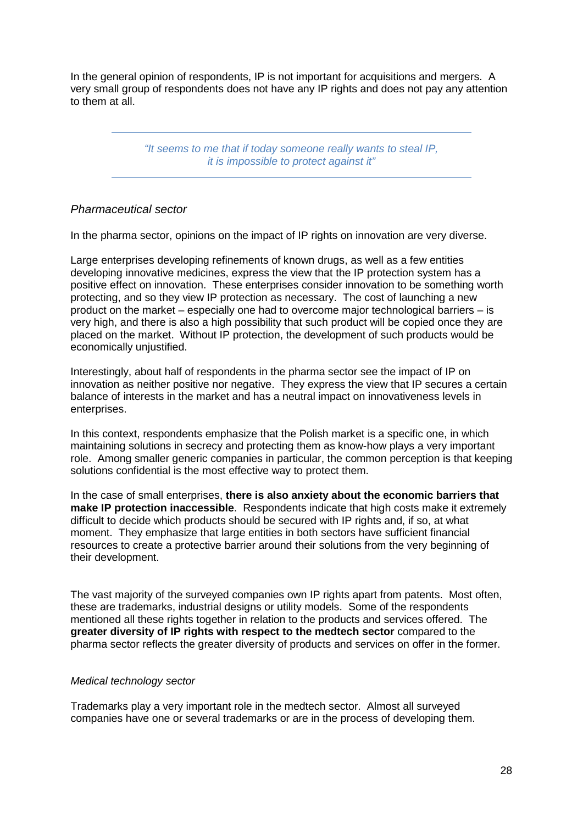In the general opinion of respondents, IP is not important for acquisitions and mergers. A very small group of respondents does not have any IP rights and does not pay any attention to them at all.

> *"It seems to me that if today someone really wants to steal IP, it is impossible to protect against it"*

# *Pharmaceutical sector*

In the pharma sector, opinions on the impact of IP rights on innovation are very diverse.

Large enterprises developing refinements of known drugs, as well as a few entities developing innovative medicines, express the view that the IP protection system has a positive effect on innovation. These enterprises consider innovation to be something worth protecting, and so they view IP protection as necessary. The cost of launching a new product on the market – especially one had to overcome major technological barriers – is very high, and there is also a high possibility that such product will be copied once they are placed on the market. Without IP protection, the development of such products would be economically unjustified.

Interestingly, about half of respondents in the pharma sector see the impact of IP on innovation as neither positive nor negative. They express the view that IP secures a certain balance of interests in the market and has a neutral impact on innovativeness levels in enterprises.

In this context, respondents emphasize that the Polish market is a specific one, in which maintaining solutions in secrecy and protecting them as know-how plays a very important role. Among smaller generic companies in particular, the common perception is that keeping solutions confidential is the most effective way to protect them.

In the case of small enterprises, **there is also anxiety about the economic barriers that make IP protection inaccessible**. Respondents indicate that high costs make it extremely difficult to decide which products should be secured with IP rights and, if so, at what moment. They emphasize that large entities in both sectors have sufficient financial resources to create a protective barrier around their solutions from the very beginning of their development.

The vast majority of the surveyed companies own IP rights apart from patents. Most often, these are trademarks, industrial designs or utility models. Some of the respondents mentioned all these rights together in relation to the products and services offered. The **greater diversity of IP rights with respect to the medtech sector** compared to the pharma sector reflects the greater diversity of products and services on offer in the former.

#### *Medical technology sector*

Trademarks play a very important role in the medtech sector. Almost all surveyed companies have one or several trademarks or are in the process of developing them.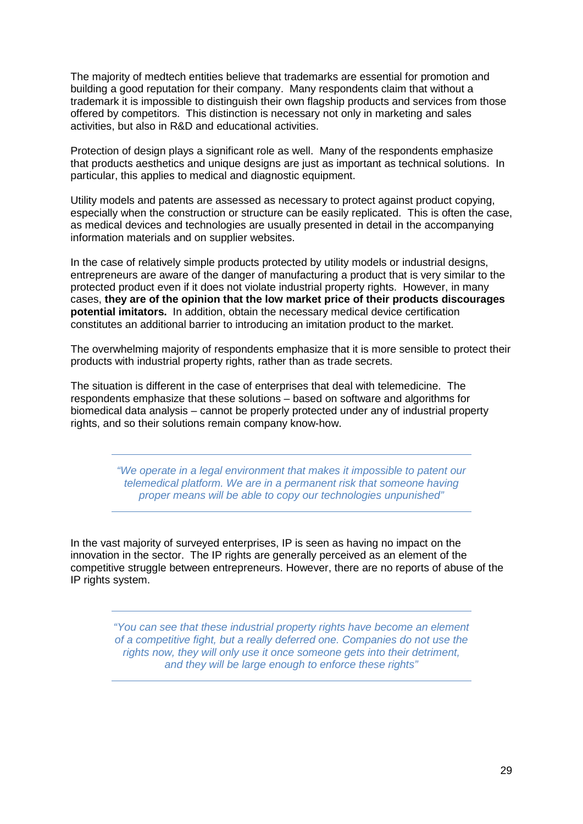The majority of medtech entities believe that trademarks are essential for promotion and building a good reputation for their company. Many respondents claim that without a trademark it is impossible to distinguish their own flagship products and services from those offered by competitors. This distinction is necessary not only in marketing and sales activities, but also in R&D and educational activities.

Protection of design plays a significant role as well. Many of the respondents emphasize that products aesthetics and unique designs are just as important as technical solutions. In particular, this applies to medical and diagnostic equipment.

Utility models and patents are assessed as necessary to protect against product copying, especially when the construction or structure can be easily replicated. This is often the case, as medical devices and technologies are usually presented in detail in the accompanying information materials and on supplier websites.

In the case of relatively simple products protected by utility models or industrial designs, entrepreneurs are aware of the danger of manufacturing a product that is very similar to the protected product even if it does not violate industrial property rights. However, in many cases, **they are of the opinion that the low market price of their products discourages potential imitators.** In addition, obtain the necessary medical device certification constitutes an additional barrier to introducing an imitation product to the market.

The overwhelming majority of respondents emphasize that it is more sensible to protect their products with industrial property rights, rather than as trade secrets.

The situation is different in the case of enterprises that deal with telemedicine. The respondents emphasize that these solutions – based on software and algorithms for biomedical data analysis – cannot be properly protected under any of industrial property rights, and so their solutions remain company know-how.

> *"We operate in a legal environment that makes it impossible to patent our telemedical platform. We are in a permanent risk that someone having proper means will be able to copy our technologies unpunished"*

In the vast majority of surveyed enterprises, IP is seen as having no impact on the innovation in the sector. The IP rights are generally perceived as an element of the competitive struggle between entrepreneurs. However, there are no reports of abuse of the IP rights system.

> *"You can see that these industrial property rights have become an element of a competitive fight, but a really deferred one. Companies do not use the rights now, they will only use it once someone gets into their detriment, and they will be large enough to enforce these rights"*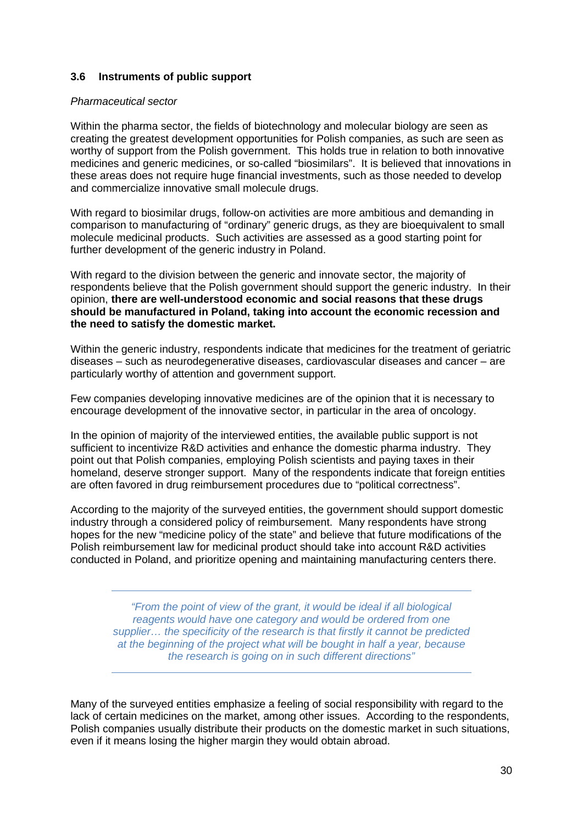# **3.6 Instruments of public support**

#### *Pharmaceutical sector*

Within the pharma sector, the fields of biotechnology and molecular biology are seen as creating the greatest development opportunities for Polish companies, as such are seen as worthy of support from the Polish government. This holds true in relation to both innovative medicines and generic medicines, or so-called "biosimilars". It is believed that innovations in these areas does not require huge financial investments, such as those needed to develop and commercialize innovative small molecule drugs.

With regard to biosimilar drugs, follow-on activities are more ambitious and demanding in comparison to manufacturing of "ordinary" generic drugs, as they are bioequivalent to small molecule medicinal products. Such activities are assessed as a good starting point for further development of the generic industry in Poland.

With regard to the division between the generic and innovate sector, the majority of respondents believe that the Polish government should support the generic industry. In their opinion, **there are well-understood economic and social reasons that these drugs should be manufactured in Poland, taking into account the economic recession and the need to satisfy the domestic market.** 

Within the generic industry, respondents indicate that medicines for the treatment of geriatric diseases – such as neurodegenerative diseases, cardiovascular diseases and cancer – are particularly worthy of attention and government support.

Few companies developing innovative medicines are of the opinion that it is necessary to encourage development of the innovative sector, in particular in the area of oncology.

In the opinion of majority of the interviewed entities, the available public support is not sufficient to incentivize R&D activities and enhance the domestic pharma industry. They point out that Polish companies, employing Polish scientists and paying taxes in their homeland, deserve stronger support. Many of the respondents indicate that foreign entities are often favored in drug reimbursement procedures due to "political correctness".

According to the majority of the surveyed entities, the government should support domestic industry through a considered policy of reimbursement. Many respondents have strong hopes for the new "medicine policy of the state" and believe that future modifications of the Polish reimbursement law for medicinal product should take into account R&D activities conducted in Poland, and prioritize opening and maintaining manufacturing centers there.

*"From the point of view of the grant, it would be ideal if all biological reagents would have one category and would be ordered from one supplier… the specificity of the research is that firstly it cannot be predicted at the beginning of the project what will be bought in half a year, because the research is going on in such different directions"* 

Many of the surveyed entities emphasize a feeling of social responsibility with regard to the lack of certain medicines on the market, among other issues. According to the respondents, Polish companies usually distribute their products on the domestic market in such situations, even if it means losing the higher margin they would obtain abroad.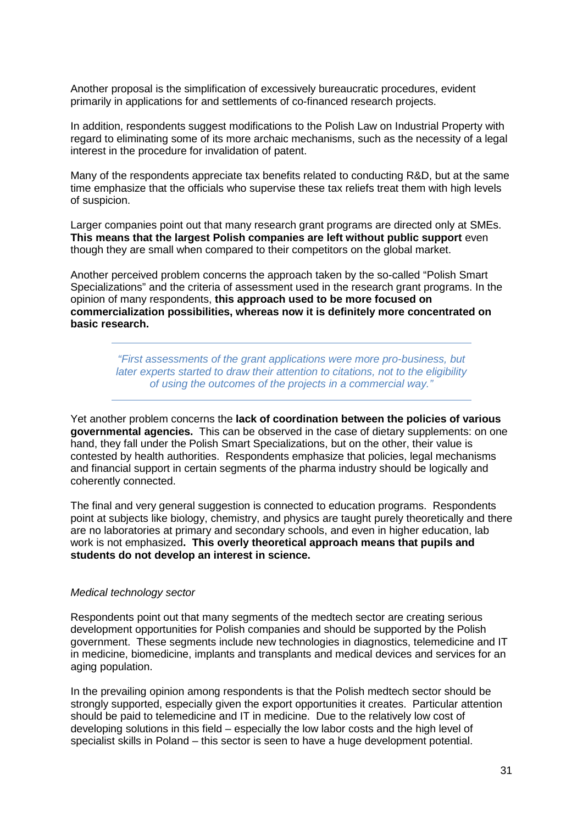Another proposal is the simplification of excessively bureaucratic procedures, evident primarily in applications for and settlements of co-financed research projects.

In addition, respondents suggest modifications to the Polish Law on Industrial Property with regard to eliminating some of its more archaic mechanisms, such as the necessity of a legal interest in the procedure for invalidation of patent.

Many of the respondents appreciate tax benefits related to conducting R&D, but at the same time emphasize that the officials who supervise these tax reliefs treat them with high levels of suspicion.

Larger companies point out that many research grant programs are directed only at SMEs. **This means that the largest Polish companies are left without public support** even though they are small when compared to their competitors on the global market.

Another perceived problem concerns the approach taken by the so-called "Polish Smart Specializations" and the criteria of assessment used in the research grant programs. In the opinion of many respondents, **this approach used to be more focused on commercialization possibilities, whereas now it is definitely more concentrated on basic research.**

> *"First assessments of the grant applications were more pro-business, but later experts started to draw their attention to citations, not to the eligibility of using the outcomes of the projects in a commercial way."*

Yet another problem concerns the **lack of coordination between the policies of various governmental agencies.** This can be observed in the case of dietary supplements: on one hand, they fall under the Polish Smart Specializations, but on the other, their value is contested by health authorities. Respondents emphasize that policies, legal mechanisms and financial support in certain segments of the pharma industry should be logically and coherently connected.

The final and very general suggestion is connected to education programs. Respondents point at subjects like biology, chemistry, and physics are taught purely theoretically and there are no laboratories at primary and secondary schools, and even in higher education, lab work is not emphasized**. This overly theoretical approach means that pupils and students do not develop an interest in science.**

#### *Medical technology sector*

Respondents point out that many segments of the medtech sector are creating serious development opportunities for Polish companies and should be supported by the Polish government. These segments include new technologies in diagnostics, telemedicine and IT in medicine, biomedicine, implants and transplants and medical devices and services for an aging population.

In the prevailing opinion among respondents is that the Polish medtech sector should be strongly supported, especially given the export opportunities it creates. Particular attention should be paid to telemedicine and IT in medicine. Due to the relatively low cost of developing solutions in this field – especially the low labor costs and the high level of specialist skills in Poland – this sector is seen to have a huge development potential.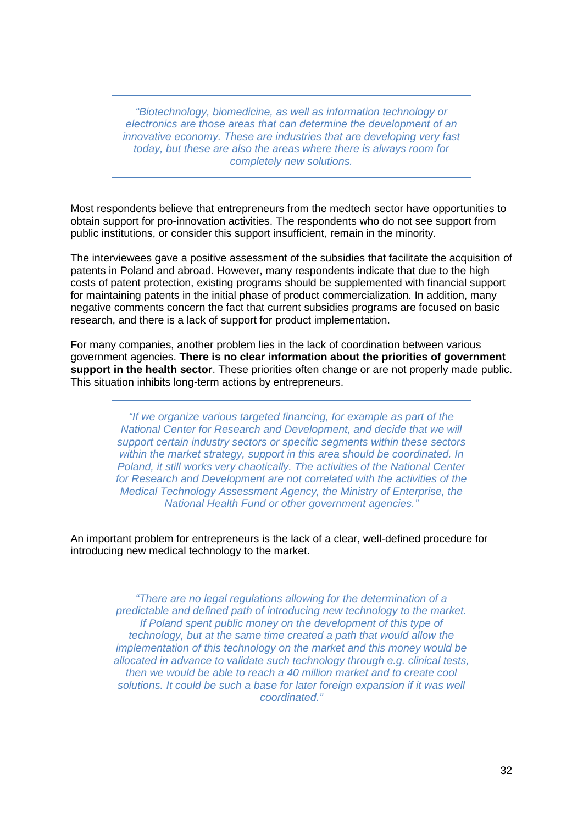*"Biotechnology, biomedicine, as well as information technology or electronics are those areas that can determine the development of an innovative economy. These are industries that are developing very fast today, but these are also the areas where there is always room for completely new solutions.*

Most respondents believe that entrepreneurs from the medtech sector have opportunities to obtain support for pro-innovation activities. The respondents who do not see support from public institutions, or consider this support insufficient, remain in the minority.

The interviewees gave a positive assessment of the subsidies that facilitate the acquisition of patents in Poland and abroad. However, many respondents indicate that due to the high costs of patent protection, existing programs should be supplemented with financial support for maintaining patents in the initial phase of product commercialization. In addition, many negative comments concern the fact that current subsidies programs are focused on basic research, and there is a lack of support for product implementation.

For many companies, another problem lies in the lack of coordination between various government agencies. **There is no clear information about the priorities of government support in the health sector**. These priorities often change or are not properly made public. This situation inhibits long-term actions by entrepreneurs.

> *"If we organize various targeted financing, for example as part of the National Center for Research and Development, and decide that we will support certain industry sectors or specific segments within these sectors within the market strategy, support in this area should be coordinated. In Poland, it still works very chaotically. The activities of the National Center for Research and Development are not correlated with the activities of the Medical Technology Assessment Agency, the Ministry of Enterprise, the National Health Fund or other government agencies."*

An important problem for entrepreneurs is the lack of a clear, well-defined procedure for introducing new medical technology to the market.

> *"There are no legal regulations allowing for the determination of a predictable and defined path of introducing new technology to the market. If Poland spent public money on the development of this type of technology, but at the same time created a path that would allow the implementation of this technology on the market and this money would be allocated in advance to validate such technology through e.g. clinical tests, then we would be able to reach a 40 million market and to create cool solutions. It could be such a base for later foreign expansion if it was well coordinated."*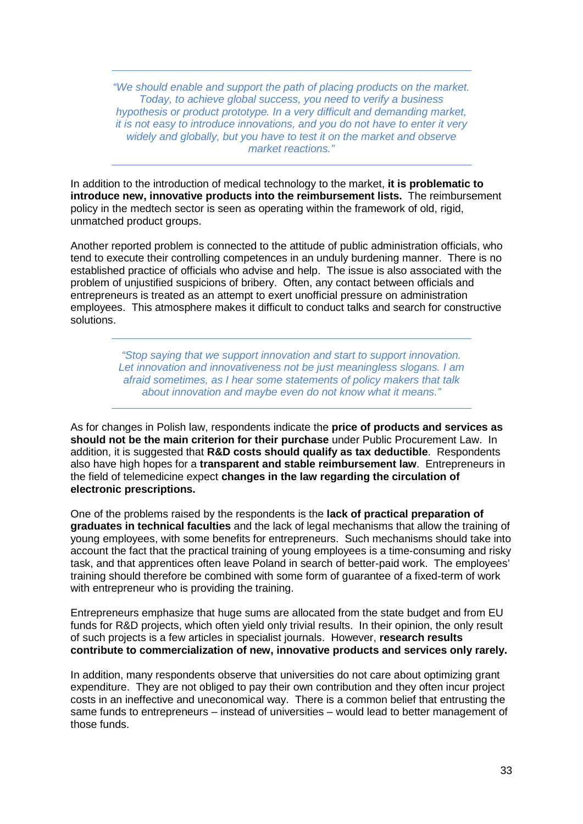*"We should enable and support the path of placing products on the market. Today, to achieve global success, you need to verify a business hypothesis or product prototype. In a very difficult and demanding market, it is not easy to introduce innovations, and you do not have to enter it very widely and globally, but you have to test it on the market and observe market reactions."*

In addition to the introduction of medical technology to the market, **it is problematic to introduce new, innovative products into the reimbursement lists.** The reimbursement policy in the medtech sector is seen as operating within the framework of old, rigid, unmatched product groups.

Another reported problem is connected to the attitude of public administration officials, who tend to execute their controlling competences in an unduly burdening manner. There is no established practice of officials who advise and help. The issue is also associated with the problem of unjustified suspicions of bribery. Often, any contact between officials and entrepreneurs is treated as an attempt to exert unofficial pressure on administration employees. This atmosphere makes it difficult to conduct talks and search for constructive solutions.

> *"Stop saying that we support innovation and start to support innovation. Let innovation and innovativeness not be just meaningless slogans. I am afraid sometimes, as I hear some statements of policy makers that talk about innovation and maybe even do not know what it means."*

As for changes in Polish law, respondents indicate the **price of products and services as should not be the main criterion for their purchase** under Public Procurement Law. In addition, it is suggested that **R&D costs should qualify as tax deductible**. Respondents also have high hopes for a **transparent and stable reimbursement law**. Entrepreneurs in the field of telemedicine expect **changes in the law regarding the circulation of electronic prescriptions.**

One of the problems raised by the respondents is the **lack of practical preparation of graduates in technical faculties** and the lack of legal mechanisms that allow the training of young employees, with some benefits for entrepreneurs. Such mechanisms should take into account the fact that the practical training of young employees is a time-consuming and risky task, and that apprentices often leave Poland in search of better-paid work. The employees' training should therefore be combined with some form of guarantee of a fixed-term of work with entrepreneur who is providing the training.

Entrepreneurs emphasize that huge sums are allocated from the state budget and from EU funds for R&D projects, which often yield only trivial results. In their opinion, the only result of such projects is a few articles in specialist journals. However, **research results contribute to commercialization of new, innovative products and services only rarely.**

In addition, many respondents observe that universities do not care about optimizing grant expenditure. They are not obliged to pay their own contribution and they often incur project costs in an ineffective and uneconomical way. There is a common belief that entrusting the same funds to entrepreneurs – instead of universities – would lead to better management of those funds.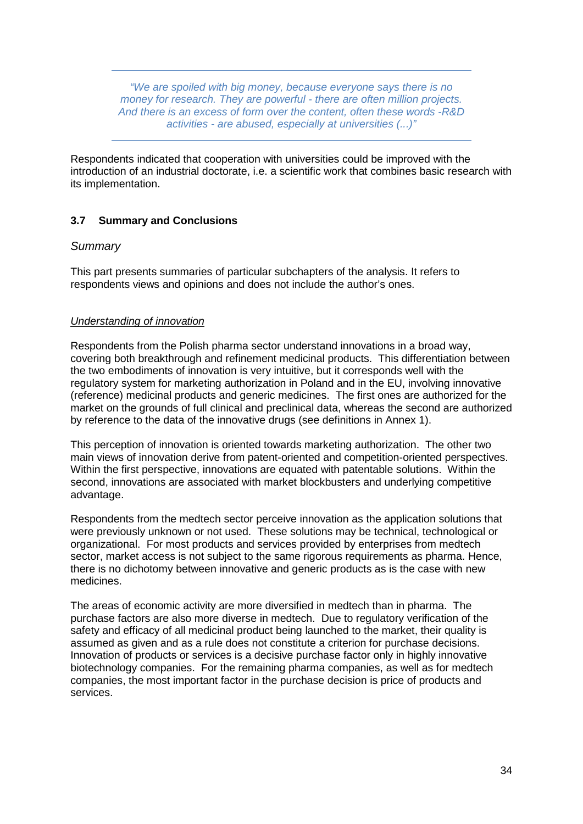*"We are spoiled with big money, because everyone says there is no money for research. They are powerful - there are often million projects. And there is an excess of form over the content, often these words -R&D activities - are abused, especially at universities (...)"*

Respondents indicated that cooperation with universities could be improved with the introduction of an industrial doctorate, i.e. a scientific work that combines basic research with its implementation.

# **3.7 Summary and Conclusions**

## *Summary*

This part presents summaries of particular subchapters of the analysis. It refers to respondents views and opinions and does not include the author's ones.

## *Understanding of innovation*

Respondents from the Polish pharma sector understand innovations in a broad way, covering both breakthrough and refinement medicinal products. This differentiation between the two embodiments of innovation is very intuitive, but it corresponds well with the regulatory system for marketing authorization in Poland and in the EU, involving innovative (reference) medicinal products and generic medicines. The first ones are authorized for the market on the grounds of full clinical and preclinical data, whereas the second are authorized by reference to the data of the innovative drugs (see definitions in Annex 1).

This perception of innovation is oriented towards marketing authorization. The other two main views of innovation derive from patent-oriented and competition-oriented perspectives. Within the first perspective, innovations are equated with patentable solutions. Within the second, innovations are associated with market blockbusters and underlying competitive advantage.

Respondents from the medtech sector perceive innovation as the application solutions that were previously unknown or not used. These solutions may be technical, technological or organizational. For most products and services provided by enterprises from medtech sector, market access is not subject to the same rigorous requirements as pharma. Hence, there is no dichotomy between innovative and generic products as is the case with new medicines.

The areas of economic activity are more diversified in medtech than in pharma. The purchase factors are also more diverse in medtech. Due to regulatory verification of the safety and efficacy of all medicinal product being launched to the market, their quality is assumed as given and as a rule does not constitute a criterion for purchase decisions. Innovation of products or services is a decisive purchase factor only in highly innovative biotechnology companies. For the remaining pharma companies, as well as for medtech companies, the most important factor in the purchase decision is price of products and services.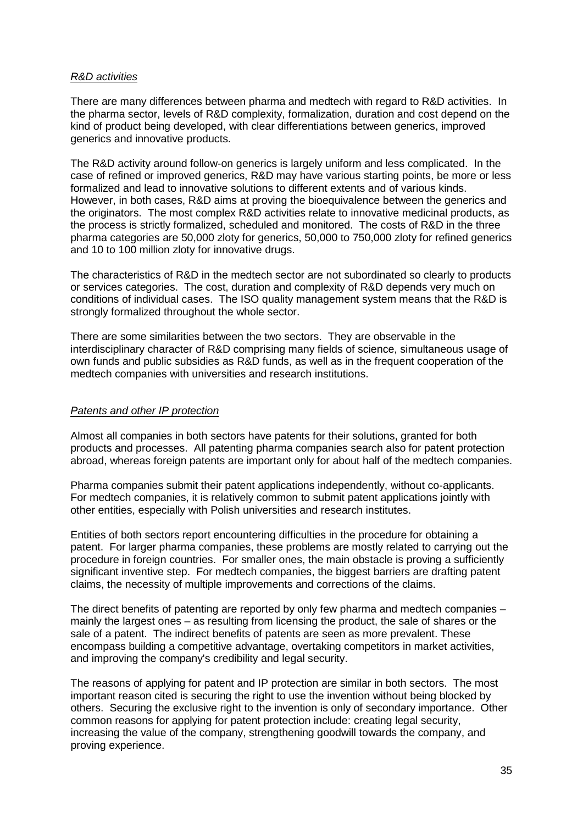#### *R&D activities*

There are many differences between pharma and medtech with regard to R&D activities. In the pharma sector, levels of R&D complexity, formalization, duration and cost depend on the kind of product being developed, with clear differentiations between generics, improved generics and innovative products.

The R&D activity around follow-on generics is largely uniform and less complicated. In the case of refined or improved generics, R&D may have various starting points, be more or less formalized and lead to innovative solutions to different extents and of various kinds. However, in both cases, R&D aims at proving the bioequivalence between the generics and the originators. The most complex R&D activities relate to innovative medicinal products, as the process is strictly formalized, scheduled and monitored. The costs of R&D in the three pharma categories are 50,000 zloty for generics, 50,000 to 750,000 zloty for refined generics and 10 to 100 million zloty for innovative drugs.

The characteristics of R&D in the medtech sector are not subordinated so clearly to products or services categories. The cost, duration and complexity of R&D depends very much on conditions of individual cases. The ISO quality management system means that the R&D is strongly formalized throughout the whole sector.

There are some similarities between the two sectors. They are observable in the interdisciplinary character of R&D comprising many fields of science, simultaneous usage of own funds and public subsidies as R&D funds, as well as in the frequent cooperation of the medtech companies with universities and research institutions.

#### *Patents and other IP protection*

Almost all companies in both sectors have patents for their solutions, granted for both products and processes. All patenting pharma companies search also for patent protection abroad, whereas foreign patents are important only for about half of the medtech companies.

Pharma companies submit their patent applications independently, without co-applicants. For medtech companies, it is relatively common to submit patent applications jointly with other entities, especially with Polish universities and research institutes.

Entities of both sectors report encountering difficulties in the procedure for obtaining a patent. For larger pharma companies, these problems are mostly related to carrying out the procedure in foreign countries. For smaller ones, the main obstacle is proving a sufficiently significant inventive step. For medtech companies, the biggest barriers are drafting patent claims, the necessity of multiple improvements and corrections of the claims.

The direct benefits of patenting are reported by only few pharma and medtech companies – mainly the largest ones – as resulting from licensing the product, the sale of shares or the sale of a patent. The indirect benefits of patents are seen as more prevalent. These encompass building a competitive advantage, overtaking competitors in market activities, and improving the company's credibility and legal security.

The reasons of applying for patent and IP protection are similar in both sectors. The most important reason cited is securing the right to use the invention without being blocked by others. Securing the exclusive right to the invention is only of secondary importance. Other common reasons for applying for patent protection include: creating legal security, increasing the value of the company, strengthening goodwill towards the company, and proving experience.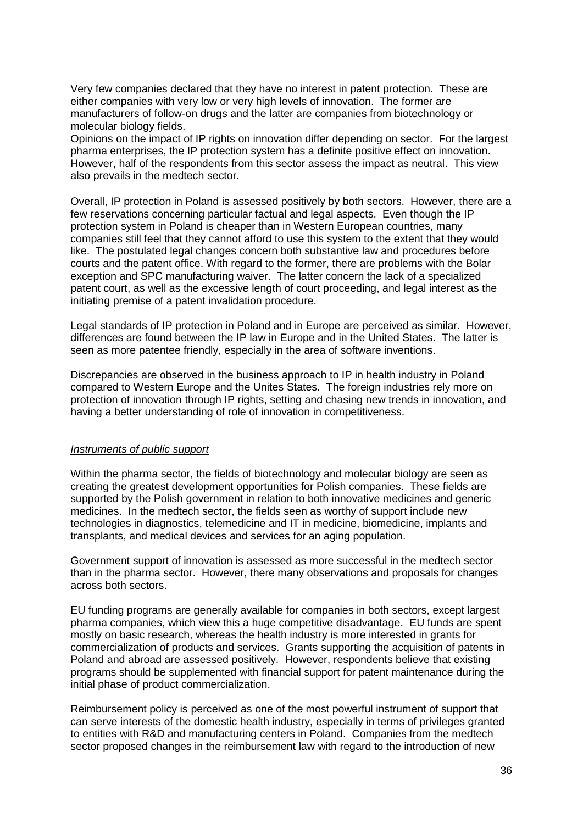Very few companies declared that they have no interest in patent protection. These are either companies with very low or very high levels of innovation. The former are manufacturers of follow-on drugs and the latter are companies from biotechnology or molecular biology fields.

Opinions on the impact of IP rights on innovation differ depending on sector. For the largest pharma enterprises, the IP protection system has a definite positive effect on innovation. However, half of the respondents from this sector assess the impact as neutral. This view also prevails in the medtech sector.

Overall, IP protection in Poland is assessed positively by both sectors. However, there are a few reservations concerning particular factual and legal aspects. Even though the IP protection system in Poland is cheaper than in Western European countries, many companies still feel that they cannot afford to use this system to the extent that they would like. The postulated legal changes concern both substantive law and procedures before courts and the patent office. With regard to the former, there are problems with the Bolar exception and SPC manufacturing waiver. The latter concern the lack of a specialized patent court, as well as the excessive length of court proceeding, and legal interest as the initiating premise of a patent invalidation procedure.

Legal standards of IP protection in Poland and in Europe are perceived as similar. However, differences are found between the IP law in Europe and in the United States. The latter is seen as more patentee friendly, especially in the area of software inventions.

Discrepancies are observed in the business approach to IP in health industry in Poland compared to Western Europe and the Unites States. The foreign industries rely more on protection of innovation through IP rights, setting and chasing new trends in innovation, and having a better understanding of role of innovation in competitiveness.

## *Instruments of public support*

Within the pharma sector, the fields of biotechnology and molecular biology are seen as creating the greatest development opportunities for Polish companies. These fields are supported by the Polish government in relation to both innovative medicines and generic medicines. In the medtech sector, the fields seen as worthy of support include new technologies in diagnostics, telemedicine and IT in medicine, biomedicine, implants and transplants, and medical devices and services for an aging population.

Government support of innovation is assessed as more successful in the medtech sector than in the pharma sector. However, there many observations and proposals for changes across both sectors.

EU funding programs are generally available for companies in both sectors, except largest pharma companies, which view this a huge competitive disadvantage. EU funds are spent mostly on basic research, whereas the health industry is more interested in grants for commercialization of products and services. Grants supporting the acquisition of patents in Poland and abroad are assessed positively. However, respondents believe that existing programs should be supplemented with financial support for patent maintenance during the initial phase of product commercialization.

Reimbursement policy is perceived as one of the most powerful instrument of support that can serve interests of the domestic health industry, especially in terms of privileges granted to entities with R&D and manufacturing centers in Poland. Companies from the medtech sector proposed changes in the reimbursement law with regard to the introduction of new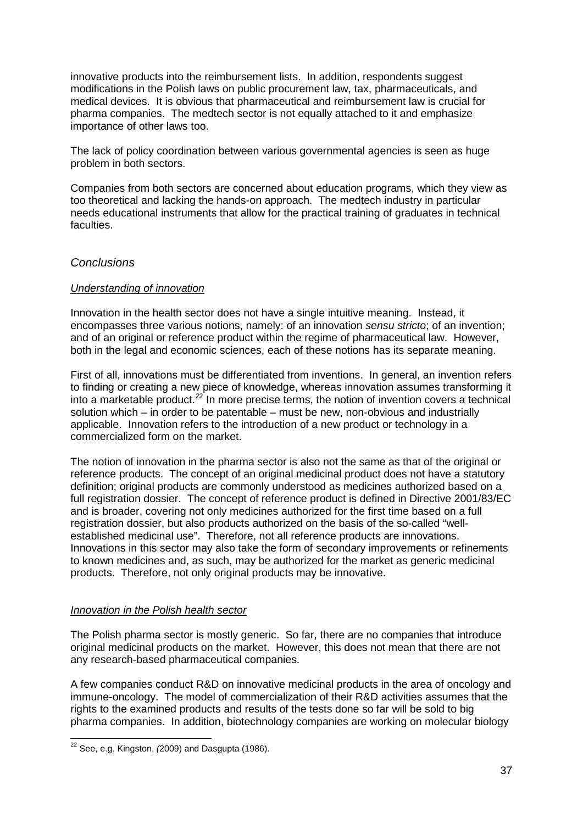innovative products into the reimbursement lists. In addition, respondents suggest modifications in the Polish laws on public procurement law, tax, pharmaceuticals, and medical devices. It is obvious that pharmaceutical and reimbursement law is crucial for pharma companies. The medtech sector is not equally attached to it and emphasize importance of other laws too.

The lack of policy coordination between various governmental agencies is seen as huge problem in both sectors.

Companies from both sectors are concerned about education programs, which they view as too theoretical and lacking the hands-on approach. The medtech industry in particular needs educational instruments that allow for the practical training of graduates in technical faculties.

# *Conclusions*

## *Understanding of innovation*

Innovation in the health sector does not have a single intuitive meaning. Instead, it encompasses three various notions, namely: of an innovation *sensu stricto*; of an invention; and of an original or reference product within the regime of pharmaceutical law. However, both in the legal and economic sciences, each of these notions has its separate meaning.

First of all, innovations must be differentiated from inventions. In general, an invention refers to finding or creating a new piece of knowledge, whereas innovation assumes transforming it into a marketable product.<sup>[22](#page-14-0)</sup> In more precise terms, the notion of invention covers a technical solution which – in order to be patentable – must be new, non-obvious and industrially applicable. Innovation refers to the introduction of a new product or technology in a commercialized form on the market.

The notion of innovation in the pharma sector is also not the same as that of the original or reference products. The concept of an original medicinal product does not have a statutory definition; original products are commonly understood as medicines authorized based on a full registration dossier. The concept of reference product is defined in Directive 2001/83/EC and is broader, covering not only medicines authorized for the first time based on a full registration dossier, but also products authorized on the basis of the so-called "wellestablished medicinal use". Therefore, not all reference products are innovations. Innovations in this sector may also take the form of secondary improvements or refinements to known medicines and, as such, may be authorized for the market as generic medicinal products. Therefore, not only original products may be innovative.

#### *Innovation in the Polish health sector*

The Polish pharma sector is mostly generic. So far, there are no companies that introduce original medicinal products on the market. However, this does not mean that there are not any research-based pharmaceutical companies.

A few companies conduct R&D on innovative medicinal products in the area of oncology and immune-oncology. The model of commercialization of their R&D activities assumes that the rights to the examined products and results of the tests done so far will be sold to big pharma companies. In addition, biotechnology companies are working on molecular biology

 <sup>22</sup> See, e.g. Kingston, *(*2009) and Dasgupta (1986).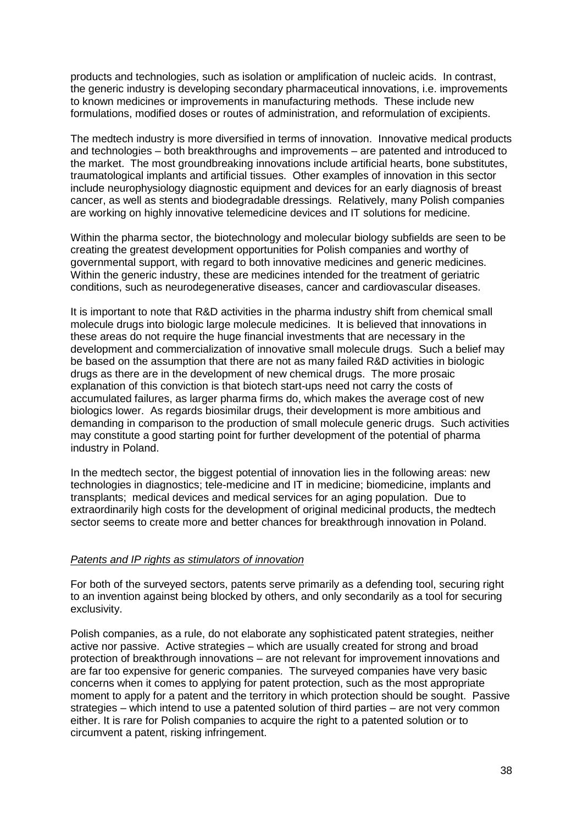products and technologies, such as isolation or amplification of nucleic acids. In contrast, the generic industry is developing secondary pharmaceutical innovations, i.e. improvements to known medicines or improvements in manufacturing methods. These include new formulations, modified doses or routes of administration, and reformulation of excipients.

The medtech industry is more diversified in terms of innovation. Innovative medical products and technologies – both breakthroughs and improvements – are patented and introduced to the market. The most groundbreaking innovations include artificial hearts, bone substitutes, traumatological implants and artificial tissues. Other examples of innovation in this sector include neurophysiology diagnostic equipment and devices for an early diagnosis of breast cancer, as well as stents and biodegradable dressings. Relatively, many Polish companies are working on highly innovative telemedicine devices and IT solutions for medicine.

Within the pharma sector, the biotechnology and molecular biology subfields are seen to be creating the greatest development opportunities for Polish companies and worthy of governmental support, with regard to both innovative medicines and generic medicines. Within the generic industry, these are medicines intended for the treatment of geriatric conditions, such as neurodegenerative diseases, cancer and cardiovascular diseases.

It is important to note that R&D activities in the pharma industry shift from chemical small molecule drugs into biologic large molecule medicines. It is believed that innovations in these areas do not require the huge financial investments that are necessary in the development and commercialization of innovative small molecule drugs. Such a belief may be based on the assumption that there are not as many failed R&D activities in biologic drugs as there are in the development of new chemical drugs. The more prosaic explanation of this conviction is that biotech start-ups need not carry the costs of accumulated failures, as larger pharma firms do, which makes the average cost of new biologics lower. As regards biosimilar drugs, their development is more ambitious and demanding in comparison to the production of small molecule generic drugs. Such activities may constitute a good starting point for further development of the potential of pharma industry in Poland.

In the medtech sector, the biggest potential of innovation lies in the following areas: new technologies in diagnostics; tele-medicine and IT in medicine; biomedicine, implants and transplants; medical devices and medical services for an aging population. Due to extraordinarily high costs for the development of original medicinal products, the medtech sector seems to create more and better chances for breakthrough innovation in Poland.

## *Patents and IP rights as stimulators of innovation*

For both of the surveyed sectors, patents serve primarily as a defending tool, securing right to an invention against being blocked by others, and only secondarily as a tool for securing exclusivity.

Polish companies, as a rule, do not elaborate any sophisticated patent strategies, neither active nor passive. Active strategies – which are usually created for strong and broad protection of breakthrough innovations – are not relevant for improvement innovations and are far too expensive for generic companies. The surveyed companies have very basic concerns when it comes to applying for patent protection, such as the most appropriate moment to apply for a patent and the territory in which protection should be sought. Passive strategies – which intend to use a patented solution of third parties – are not very common either. It is rare for Polish companies to acquire the right to a patented solution or to circumvent a patent, risking infringement.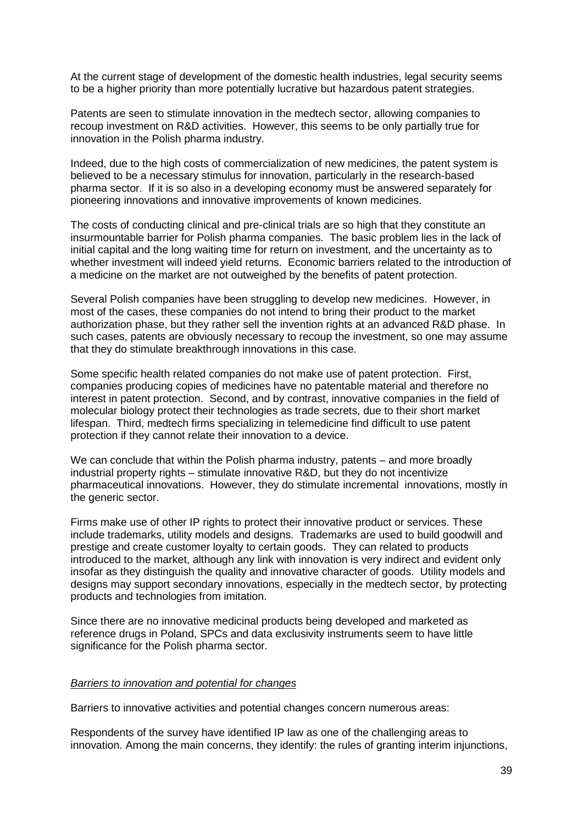At the current stage of development of the domestic health industries, legal security seems to be a higher priority than more potentially lucrative but hazardous patent strategies.

Patents are seen to stimulate innovation in the medtech sector, allowing companies to recoup investment on R&D activities. However, this seems to be only partially true for innovation in the Polish pharma industry.

Indeed, due to the high costs of commercialization of new medicines, the patent system is believed to be a necessary stimulus for innovation, particularly in the research-based pharma sector. If it is so also in a developing economy must be answered separately for pioneering innovations and innovative improvements of known medicines.

The costs of conducting clinical and pre-clinical trials are so high that they constitute an insurmountable barrier for Polish pharma companies. The basic problem lies in the lack of initial capital and the long waiting time for return on investment, and the uncertainty as to whether investment will indeed yield returns. Economic barriers related to the introduction of a medicine on the market are not outweighed by the benefits of patent protection.

Several Polish companies have been struggling to develop new medicines. However, in most of the cases, these companies do not intend to bring their product to the market authorization phase, but they rather sell the invention rights at an advanced R&D phase. In such cases, patents are obviously necessary to recoup the investment, so one may assume that they do stimulate breakthrough innovations in this case.

Some specific health related companies do not make use of patent protection. First, companies producing copies of medicines have no patentable material and therefore no interest in patent protection. Second, and by contrast, innovative companies in the field of molecular biology protect their technologies as trade secrets, due to their short market lifespan. Third, medtech firms specializing in telemedicine find difficult to use patent protection if they cannot relate their innovation to a device.

We can conclude that within the Polish pharma industry, patents – and more broadly industrial property rights – stimulate innovative R&D, but they do not incentivize pharmaceutical innovations. However, they do stimulate incremental innovations, mostly in the generic sector.

Firms make use of other IP rights to protect their innovative product or services. These include trademarks, utility models and designs. Trademarks are used to build goodwill and prestige and create customer loyalty to certain goods. They can related to products introduced to the market, although any link with innovation is very indirect and evident only insofar as they distinguish the quality and innovative character of goods. Utility models and designs may support secondary innovations, especially in the medtech sector, by protecting products and technologies from imitation.

Since there are no innovative medicinal products being developed and marketed as reference drugs in Poland, SPCs and data exclusivity instruments seem to have little significance for the Polish pharma sector.

#### *Barriers to innovation and potential for changes*

Barriers to innovative activities and potential changes concern numerous areas:

Respondents of the survey have identified IP law as one of the challenging areas to innovation. Among the main concerns, they identify: the rules of granting interim injunctions,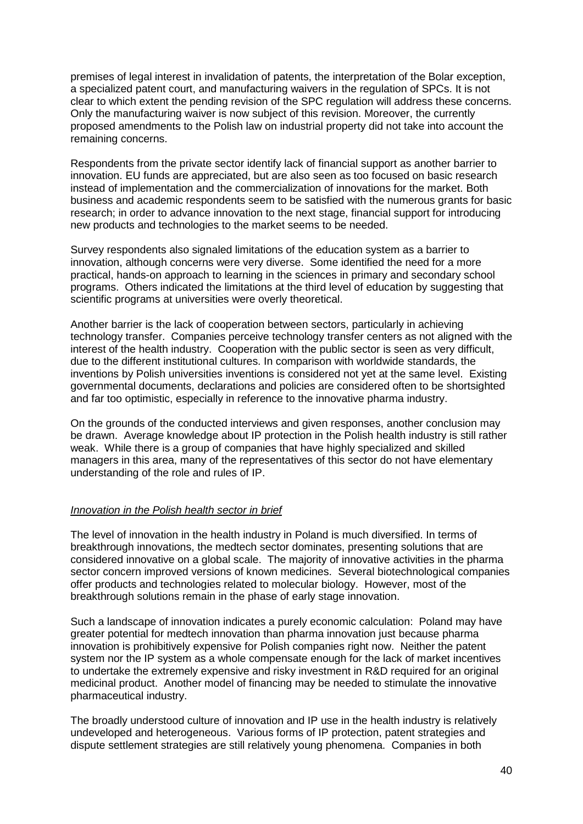premises of legal interest in invalidation of patents, the interpretation of the Bolar exception, a specialized patent court, and manufacturing waivers in the regulation of SPCs. It is not clear to which extent the pending revision of the SPC regulation will address these concerns. Only the manufacturing waiver is now subject of this revision. Moreover, the currently proposed amendments to the Polish law on industrial property did not take into account the remaining concerns.

Respondents from the private sector identify lack of financial support as another barrier to innovation. EU funds are appreciated, but are also seen as too focused on basic research instead of implementation and the commercialization of innovations for the market. Both business and academic respondents seem to be satisfied with the numerous grants for basic research; in order to advance innovation to the next stage, financial support for introducing new products and technologies to the market seems to be needed.

Survey respondents also signaled limitations of the education system as a barrier to innovation, although concerns were very diverse. Some identified the need for a more practical, hands-on approach to learning in the sciences in primary and secondary school programs. Others indicated the limitations at the third level of education by suggesting that scientific programs at universities were overly theoretical.

Another barrier is the lack of cooperation between sectors, particularly in achieving technology transfer. Companies perceive technology transfer centers as not aligned with the interest of the health industry. Cooperation with the public sector is seen as very difficult, due to the different institutional cultures. In comparison with worldwide standards, the inventions by Polish universities inventions is considered not yet at the same level. Existing governmental documents, declarations and policies are considered often to be shortsighted and far too optimistic, especially in reference to the innovative pharma industry.

On the grounds of the conducted interviews and given responses, another conclusion may be drawn. Average knowledge about IP protection in the Polish health industry is still rather weak. While there is a group of companies that have highly specialized and skilled managers in this area, many of the representatives of this sector do not have elementary understanding of the role and rules of IP.

# *Innovation in the Polish health sector in brief*

The level of innovation in the health industry in Poland is much diversified. In terms of breakthrough innovations, the medtech sector dominates, presenting solutions that are considered innovative on a global scale. The majority of innovative activities in the pharma sector concern improved versions of known medicines. Several biotechnological companies offer products and technologies related to molecular biology. However, most of the breakthrough solutions remain in the phase of early stage innovation.

Such a landscape of innovation indicates a purely economic calculation: Poland may have greater potential for medtech innovation than pharma innovation just because pharma innovation is prohibitively expensive for Polish companies right now. Neither the patent system nor the IP system as a whole compensate enough for the lack of market incentives to undertake the extremely expensive and risky investment in R&D required for an original medicinal product. Another model of financing may be needed to stimulate the innovative pharmaceutical industry.

The broadly understood culture of innovation and IP use in the health industry is relatively undeveloped and heterogeneous. Various forms of IP protection, patent strategies and dispute settlement strategies are still relatively young phenomena. Companies in both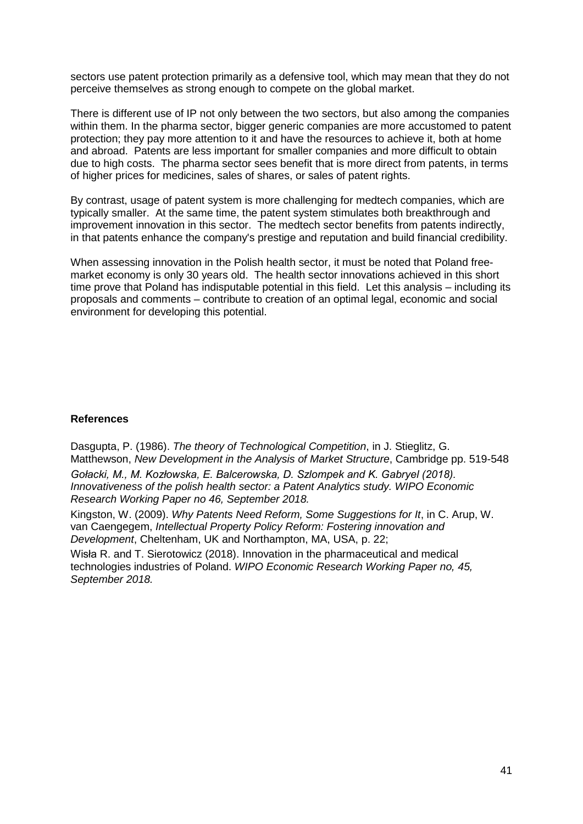sectors use patent protection primarily as a defensive tool, which may mean that they do not perceive themselves as strong enough to compete on the global market.

There is different use of IP not only between the two sectors, but also among the companies within them. In the pharma sector, bigger generic companies are more accustomed to patent protection; they pay more attention to it and have the resources to achieve it, both at home and abroad. Patents are less important for smaller companies and more difficult to obtain due to high costs. The pharma sector sees benefit that is more direct from patents, in terms of higher prices for medicines, sales of shares, or sales of patent rights.

By contrast, usage of patent system is more challenging for medtech companies, which are typically smaller. At the same time, the patent system stimulates both breakthrough and improvement innovation in this sector. The medtech sector benefits from patents indirectly, in that patents enhance the company's prestige and reputation and build financial credibility.

When assessing innovation in the Polish health sector, it must be noted that Poland freemarket economy is only 30 years old. The health sector innovations achieved in this short time prove that Poland has indisputable potential in this field. Let this analysis – including its proposals and comments – contribute to creation of an optimal legal, economic and social environment for developing this potential.

## **References**

Dasgupta, P. (1986). *The theory of Technological Competition*, in J. Stieglitz, G. Matthewson, *New Development in the Analysis of Market Structure*, Cambridge pp. 519-548 *Gołacki, M., M. Kozłowska, E. Balcerowska, D. Szlompek and K. Gabryel (2018). Innovativeness of the polish health sector: a Patent Analytics study. WIPO Economic Research Working Paper no 46, September 2018.*

Kingston, W. (2009). *Why Patents Need Reform, Some Suggestions for It*, in C. Arup, W. van Caengegem, *Intellectual Property Policy Reform: Fostering innovation and Development*, Cheltenham, UK and Northampton, MA, USA, p. 22;

Wisła R. and T. Sierotowicz (2018). Innovation in the pharmaceutical and medical technologies industries of Poland. *WIPO Economic Research Working Paper no, 45, September 2018.*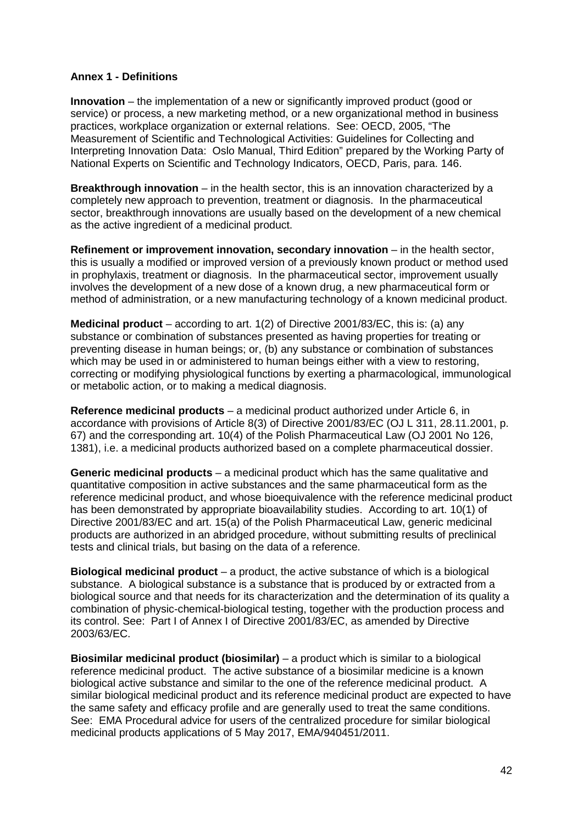## **Annex 1 - Definitions**

**Innovation** – the implementation of a new or significantly improved product (good or service) or process, a new marketing method, or a new organizational method in business practices, workplace organization or external relations. See: OECD, 2005, "The Measurement of Scientific and Technological Activities: Guidelines for Collecting and Interpreting Innovation Data: Oslo Manual, Third Edition" prepared by the Working Party of National Experts on Scientific and Technology Indicators, OECD, Paris, para. 146.

**Breakthrough innovation** – in the health sector, this is an innovation characterized by a completely new approach to prevention, treatment or diagnosis. In the pharmaceutical sector, breakthrough innovations are usually based on the development of a new chemical as the active ingredient of a medicinal product.

**Refinement or improvement innovation, secondary innovation** – in the health sector, this is usually a modified or improved version of a previously known product or method used in prophylaxis, treatment or diagnosis. In the pharmaceutical sector, improvement usually involves the development of a new dose of a known drug, a new pharmaceutical form or method of administration, or a new manufacturing technology of a known medicinal product.

**Medicinal product** – according to art. 1(2) of Directive 2001/83/EC, this is: (a) any substance or combination of substances presented as having properties for treating or preventing disease in human beings; or, (b) any substance or combination of substances which may be used in or administered to human beings either with a view to restoring, correcting or modifying physiological functions by exerting a pharmacological, immunological or metabolic action, or to making a medical diagnosis.

**Reference medicinal products** – a medicinal product authorized under Article 6, in accordance with provisions of Article 8(3) of Directive 2001/83/EC (OJ L 311, 28.11.2001, p. 67) and the corresponding art. 10(4) of the Polish Pharmaceutical Law (OJ 2001 No 126, 1381), i.e. a medicinal products authorized based on a complete pharmaceutical dossier.

**Generic medicinal products** – a medicinal product which has the same qualitative and quantitative composition in active substances and the same pharmaceutical form as the reference medicinal product, and whose bioequivalence with the reference medicinal product has been demonstrated by appropriate bioavailability studies. According to art. 10(1) of Directive 2001/83/EC and art. 15(a) of the Polish Pharmaceutical Law, generic medicinal products are authorized in an abridged procedure, without submitting results of preclinical tests and clinical trials, but basing on the data of a reference.

**Biological medicinal product** – a product, the active substance of which is a biological substance. A biological substance is a substance that is produced by or extracted from a biological source and that needs for its characterization and the determination of its quality a combination of physic-chemical-biological testing, together with the production process and its control. See: Part I of Annex I of Directive 2001/83/EC, as amended by Directive 2003/63/EC.

**Biosimilar medicinal product (biosimilar)** – a product which is similar to a biological reference medicinal product. The active substance of a biosimilar medicine is a known biological active substance and similar to the one of the reference medicinal product. A similar biological medicinal product and its reference medicinal product are expected to have the same safety and efficacy profile and are generally used to treat the same conditions. See: EMA Procedural advice for users of the centralized procedure for similar biological medicinal products applications of 5 May 2017, EMA/940451/2011.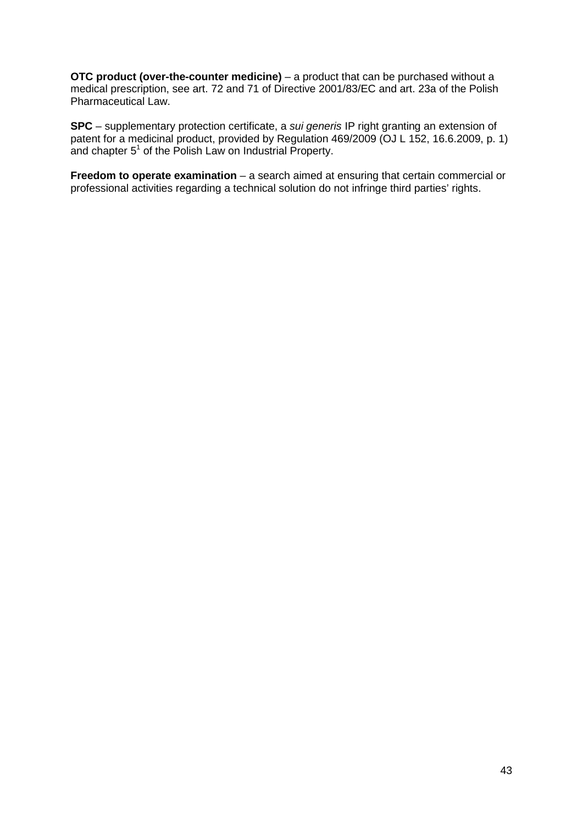**OTC product (over-the-counter medicine)** – a product that can be purchased without a medical prescription, see art. 72 and 71 of Directive 2001/83/EC and art. 23a of the Polish Pharmaceutical Law.

**SPC** – supplementary protection certificate, a *sui generis* IP right granting an extension of patent for a medicinal product, provided by Regulation 469/2009 (OJ L 152, 16.6.2009, p. 1) and chapter  $5<sup>1</sup>$  of the Polish Law on Industrial Property.

**Freedom to operate examination** – a search aimed at ensuring that certain commercial or professional activities regarding a technical solution do not infringe third parties' rights.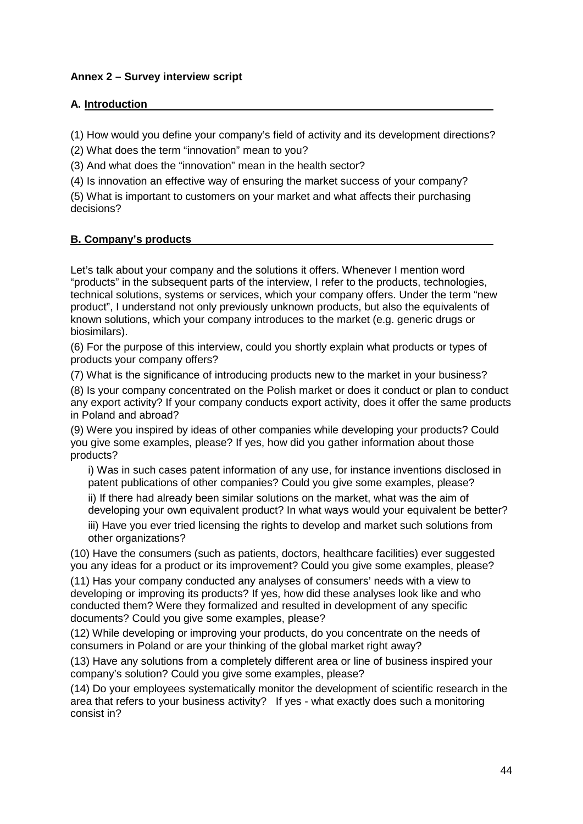# **Annex 2 – Survey interview script**

## **A. Introduction**

(1) How would you define your company's field of activity and its development directions?

(2) What does the term "innovation" mean to you?

(3) And what does the "innovation" mean in the health sector?

(4) Is innovation an effective way of ensuring the market success of your company?

(5) What is important to customers on your market and what affects their purchasing decisions?

# **B. Company's products**

Let's talk about your company and the solutions it offers. Whenever I mention word "products" in the subsequent parts of the interview, I refer to the products, technologies, technical solutions, systems or services, which your company offers. Under the term "new product", I understand not only previously unknown products, but also the equivalents of known solutions, which your company introduces to the market (e.g. generic drugs or biosimilars).

(6) For the purpose of this interview, could you shortly explain what products or types of products your company offers?

(7) What is the significance of introducing products new to the market in your business?

(8) Is your company concentrated on the Polish market or does it conduct or plan to conduct any export activity? If your company conducts export activity, does it offer the same products in Poland and abroad?

(9) Were you inspired by ideas of other companies while developing your products? Could you give some examples, please? If yes, how did you gather information about those products?

i) Was in such cases patent information of any use, for instance inventions disclosed in patent publications of other companies? Could you give some examples, please?

ii) If there had already been similar solutions on the market, what was the aim of developing your own equivalent product? In what ways would your equivalent be better?

iii) Have you ever tried licensing the rights to develop and market such solutions from other organizations?

(10) Have the consumers (such as patients, doctors, healthcare facilities) ever suggested you any ideas for a product or its improvement? Could you give some examples, please?

(11) Has your company conducted any analyses of consumers' needs with a view to developing or improving its products? If yes, how did these analyses look like and who conducted them? Were they formalized and resulted in development of any specific documents? Could you give some examples, please?

(12) While developing or improving your products, do you concentrate on the needs of consumers in Poland or are your thinking of the global market right away?

(13) Have any solutions from a completely different area or line of business inspired your company's solution? Could you give some examples, please?

(14) Do your employees systematically monitor the development of scientific research in the area that refers to your business activity? If yes - what exactly does such a monitoring consist in?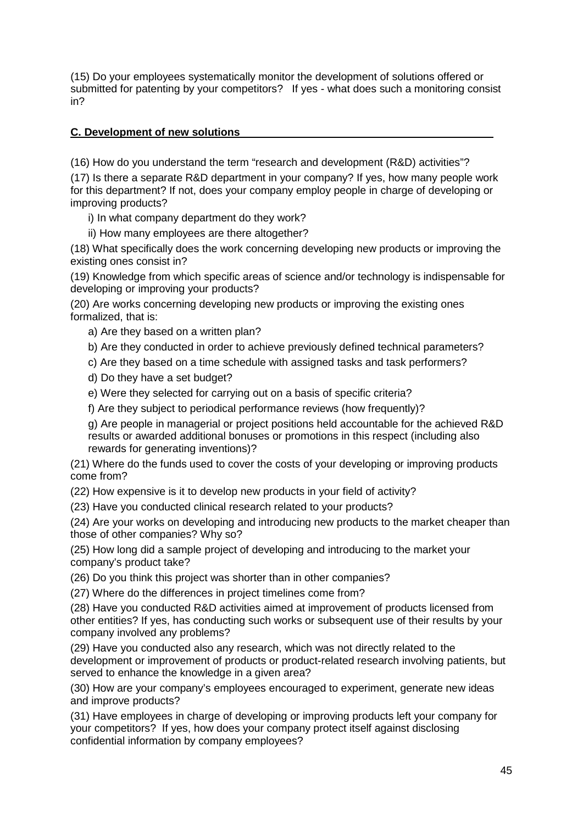(15) Do your employees systematically monitor the development of solutions offered or submitted for patenting by your competitors? If yes - what does such a monitoring consist in?

# **C. Development of new solutions**

(16) How do you understand the term "research and development (R&D) activities"?

(17) Is there a separate R&D department in your company? If yes, how many people work for this department? If not, does your company employ people in charge of developing or improving products?

i) In what company department do they work?

ii) How many employees are there altogether?

(18) What specifically does the work concerning developing new products or improving the existing ones consist in?

(19) Knowledge from which specific areas of science and/or technology is indispensable for developing or improving your products?

(20) Are works concerning developing new products or improving the existing ones formalized, that is:

- a) Are they based on a written plan?
- b) Are they conducted in order to achieve previously defined technical parameters?
- c) Are they based on a time schedule with assigned tasks and task performers?
- d) Do they have a set budget?
- e) Were they selected for carrying out on a basis of specific criteria?
- f) Are they subject to periodical performance reviews (how frequently)?

g) Are people in managerial or project positions held accountable for the achieved R&D results or awarded additional bonuses or promotions in this respect (including also rewards for generating inventions)?

(21) Where do the funds used to cover the costs of your developing or improving products come from?

(22) How expensive is it to develop new products in your field of activity?

(23) Have you conducted clinical research related to your products?

(24) Are your works on developing and introducing new products to the market cheaper than those of other companies? Why so?

(25) How long did a sample project of developing and introducing to the market your company's product take?

(26) Do you think this project was shorter than in other companies?

(27) Where do the differences in project timelines come from?

(28) Have you conducted R&D activities aimed at improvement of products licensed from other entities? If yes, has conducting such works or subsequent use of their results by your company involved any problems?

(29) Have you conducted also any research, which was not directly related to the development or improvement of products or product-related research involving patients, but served to enhance the knowledge in a given area?

(30) How are your company's employees encouraged to experiment, generate new ideas and improve products?

(31) Have employees in charge of developing or improving products left your company for your competitors? If yes, how does your company protect itself against disclosing confidential information by company employees?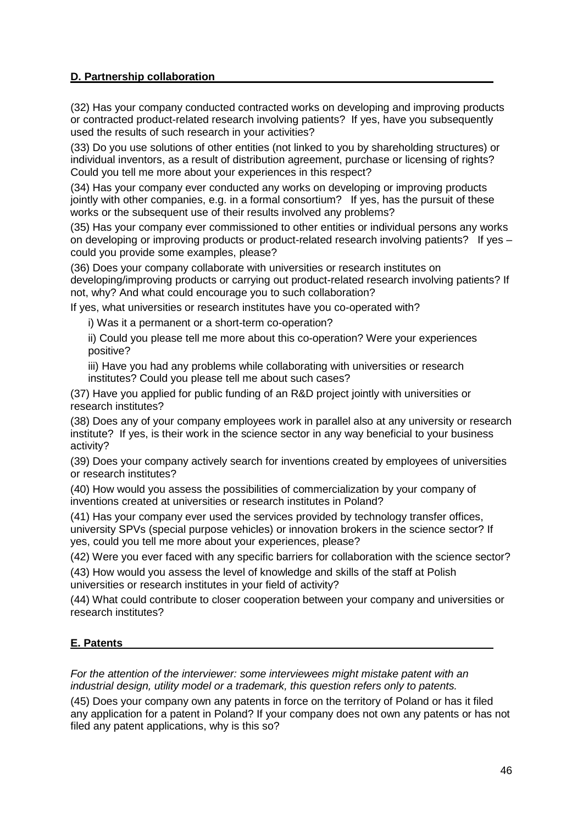# **D. Partnership collaboration**

(32) Has your company conducted contracted works on developing and improving products or contracted product-related research involving patients? If yes, have you subsequently used the results of such research in your activities?

(33) Do you use solutions of other entities (not linked to you by shareholding structures) or individual inventors, as a result of distribution agreement, purchase or licensing of rights? Could you tell me more about your experiences in this respect?

(34) Has your company ever conducted any works on developing or improving products jointly with other companies, e.g. in a formal consortium? If yes, has the pursuit of these works or the subsequent use of their results involved any problems?

(35) Has your company ever commissioned to other entities or individual persons any works on developing or improving products or product-related research involving patients? If yes could you provide some examples, please?

(36) Does your company collaborate with universities or research institutes on developing/improving products or carrying out product-related research involving patients? If not, why? And what could encourage you to such collaboration?

If yes, what universities or research institutes have you co-operated with?

i) Was it a permanent or a short-term co-operation?

ii) Could you please tell me more about this co-operation? Were your experiences positive?

iii) Have you had any problems while collaborating with universities or research institutes? Could you please tell me about such cases?

(37) Have you applied for public funding of an R&D project jointly with universities or research institutes?

(38) Does any of your company employees work in parallel also at any university or research institute? If yes, is their work in the science sector in any way beneficial to your business activity?

(39) Does your company actively search for inventions created by employees of universities or research institutes?

(40) How would you assess the possibilities of commercialization by your company of inventions created at universities or research institutes in Poland?

(41) Has your company ever used the services provided by technology transfer offices, university SPVs (special purpose vehicles) or innovation brokers in the science sector? If yes, could you tell me more about your experiences, please?

(42) Were you ever faced with any specific barriers for collaboration with the science sector?

(43) How would you assess the level of knowledge and skills of the staff at Polish universities or research institutes in your field of activity?

(44) What could contribute to closer cooperation between your company and universities or research institutes?

# **E. Patents**

*For the attention of the interviewer: some interviewees might mistake patent with an industrial design, utility model or a trademark, this question refers only to patents.*

(45) Does your company own any patents in force on the territory of Poland or has it filed any application for a patent in Poland? If your company does not own any patents or has not filed any patent applications, why is this so?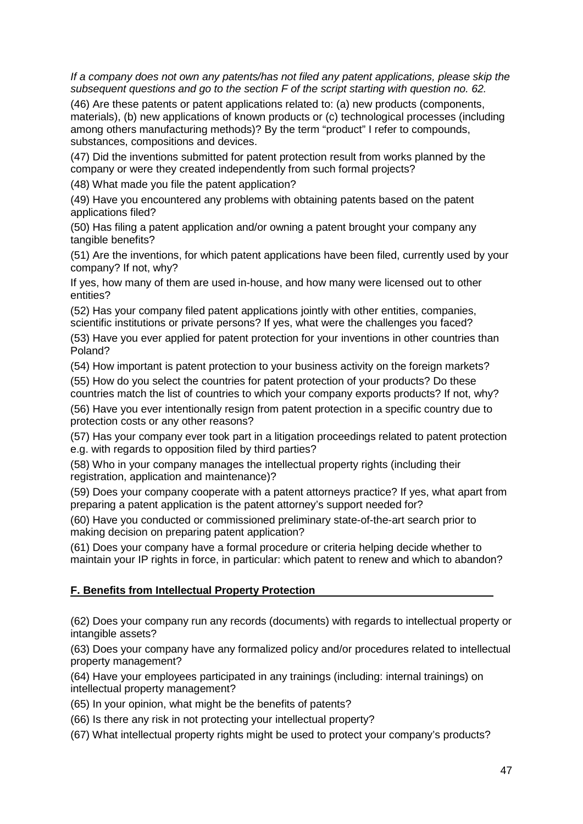*If a company does not own any patents/has not filed any patent applications, please skip the subsequent questions and go to the section F of the script starting with question no. 62.*

(46) Are these patents or patent applications related to: (a) new products (components, materials), (b) new applications of known products or (c) technological processes (including among others manufacturing methods)? By the term "product" I refer to compounds, substances, compositions and devices.

(47) Did the inventions submitted for patent protection result from works planned by the company or were they created independently from such formal projects?

(48) What made you file the patent application?

(49) Have you encountered any problems with obtaining patents based on the patent applications filed?

(50) Has filing a patent application and/or owning a patent brought your company any tangible benefits?

(51) Are the inventions, for which patent applications have been filed, currently used by your company? If not, why?

If yes, how many of them are used in-house, and how many were licensed out to other entities?

(52) Has your company filed patent applications jointly with other entities, companies, scientific institutions or private persons? If yes, what were the challenges you faced?

(53) Have you ever applied for patent protection for your inventions in other countries than Poland?

(54) How important is patent protection to your business activity on the foreign markets?

(55) How do you select the countries for patent protection of your products? Do these countries match the list of countries to which your company exports products? If not, why?

(56) Have you ever intentionally resign from patent protection in a specific country due to protection costs or any other reasons?

(57) Has your company ever took part in a litigation proceedings related to patent protection e.g. with regards to opposition filed by third parties?

(58) Who in your company manages the intellectual property rights (including their registration, application and maintenance)?

(59) Does your company cooperate with a patent attorneys practice? If yes, what apart from preparing a patent application is the patent attorney's support needed for?

(60) Have you conducted or commissioned preliminary state-of-the-art search prior to making decision on preparing patent application?

(61) Does your company have a formal procedure or criteria helping decide whether to maintain your IP rights in force, in particular: which patent to renew and which to abandon?

## **F. Benefits from Intellectual Property Protection**

(62) Does your company run any records (documents) with regards to intellectual property or intangible assets?

(63) Does your company have any formalized policy and/or procedures related to intellectual property management?

(64) Have your employees participated in any trainings (including: internal trainings) on intellectual property management?

(65) In your opinion, what might be the benefits of patents?

(66) Is there any risk in not protecting your intellectual property?

(67) What intellectual property rights might be used to protect your company's products?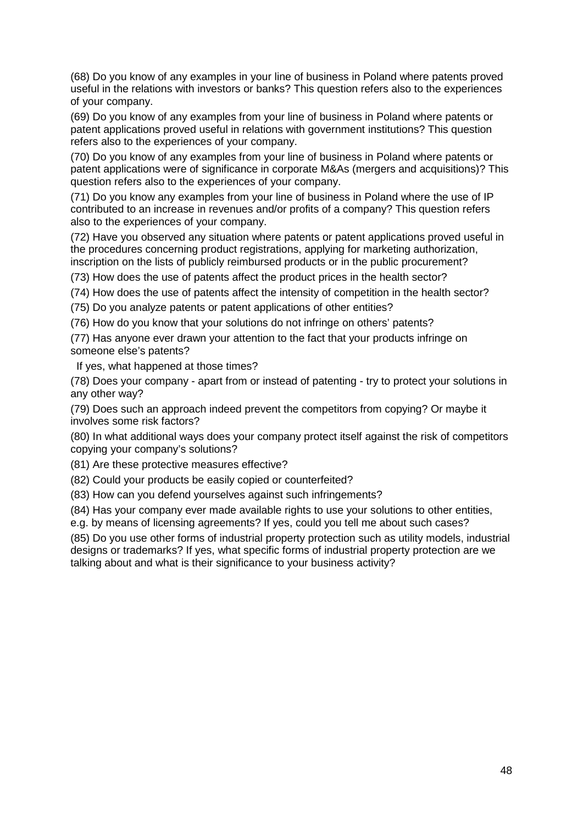(68) Do you know of any examples in your line of business in Poland where patents proved useful in the relations with investors or banks? This question refers also to the experiences of your company.

(69) Do you know of any examples from your line of business in Poland where patents or patent applications proved useful in relations with government institutions? This question refers also to the experiences of your company.

(70) Do you know of any examples from your line of business in Poland where patents or patent applications were of significance in corporate M&As (mergers and acquisitions)? This question refers also to the experiences of your company.

(71) Do you know any examples from your line of business in Poland where the use of IP contributed to an increase in revenues and/or profits of a company? This question refers also to the experiences of your company.

(72) Have you observed any situation where patents or patent applications proved useful in the procedures concerning product registrations, applying for marketing authorization, inscription on the lists of publicly reimbursed products or in the public procurement?

(73) How does the use of patents affect the product prices in the health sector?

(74) How does the use of patents affect the intensity of competition in the health sector?

(75) Do you analyze patents or patent applications of other entities?

(76) How do you know that your solutions do not infringe on others' patents?

(77) Has anyone ever drawn your attention to the fact that your products infringe on someone else's patents?

If yes, what happened at those times?

(78) Does your company - apart from or instead of patenting - try to protect your solutions in any other way?

(79) Does such an approach indeed prevent the competitors from copying? Or maybe it involves some risk factors?

(80) In what additional ways does your company protect itself against the risk of competitors copying your company's solutions?

(81) Are these protective measures effective?

(82) Could your products be easily copied or counterfeited?

(83) How can you defend yourselves against such infringements?

(84) Has your company ever made available rights to use your solutions to other entities,

e.g. by means of licensing agreements? If yes, could you tell me about such cases?

(85) Do you use other forms of industrial property protection such as utility models, industrial designs or trademarks? If yes, what specific forms of industrial property protection are we talking about and what is their significance to your business activity?